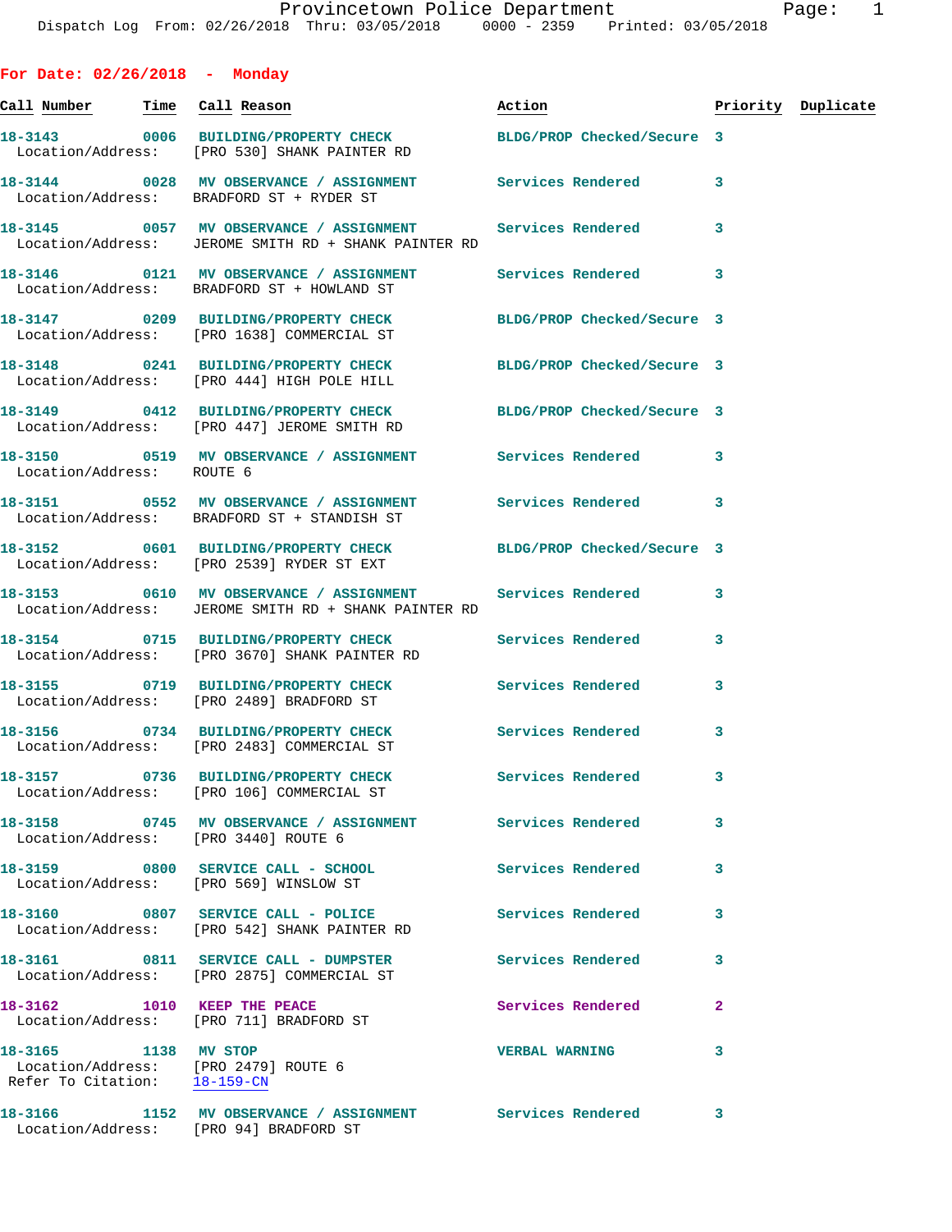**For Date: 02/26/2018 - Monday Call Number Time Call Reason Action Priority Duplicate 18-3143 0006 BUILDING/PROPERTY CHECK BLDG/PROP Checked/Secure 3**  Location/Address: [PRO 530] SHANK PAINTER RD **18-3144 0028 MV OBSERVANCE / ASSIGNMENT Services Rendered 3**  Location/Address: BRADFORD ST + RYDER ST **18-3145 0057 MV OBSERVANCE / ASSIGNMENT Services Rendered 3**  Location/Address: JEROME SMITH RD + SHANK PAINTER RD **18-3146 0121 MV OBSERVANCE / ASSIGNMENT Services Rendered 3**  Location/Address: BRADFORD ST + HOWLAND ST **18-3147 0209 BUILDING/PROPERTY CHECK BLDG/PROP Checked/Secure 3**  Location/Address: [PRO 1638] COMMERCIAL ST **18-3148 0241 BUILDING/PROPERTY CHECK BLDG/PROP Checked/Secure 3**  Location/Address: [PRO 444] HIGH POLE HILL **18-3149 0412 BUILDING/PROPERTY CHECK BLDG/PROP Checked/Secure 3**  Location/Address: [PRO 447] JEROME SMITH RD 18-3150 **0519 MV OBSERVANCE / ASSIGNMENT** Services Rendered 3 Location/Address: ROUTE 6 **18-3151 0552 MV OBSERVANCE / ASSIGNMENT Services Rendered 3**  Location/Address: BRADFORD ST + STANDISH ST **18-3152 0601 BUILDING/PROPERTY CHECK BLDG/PROP Checked/Secure 3**  Location/Address: [PRO 2539] RYDER ST EXT **18-3153 0610 MV OBSERVANCE / ASSIGNMENT Services Rendered 3**  Location/Address: JEROME SMITH RD + SHANK PAINTER RD **18-3154 0715 BUILDING/PROPERTY CHECK Services Rendered 3**  Location/Address: [PRO 3670] SHANK PAINTER RD **18-3155 0719 BUILDING/PROPERTY CHECK Services Rendered 3**  Location/Address: [PRO 2489] BRADFORD ST **18-3156 0734 BUILDING/PROPERTY CHECK Services Rendered 3**  Location/Address: [PRO 2483] COMMERCIAL ST **18-3157 0736 BUILDING/PROPERTY CHECK Services Rendered 3**  Location/Address: [PRO 106] COMMERCIAL ST **18-3158 0745 MV OBSERVANCE / ASSIGNMENT Services Rendered 3**  Location/Address: [PRO 3440] ROUTE 6 **18-3159 0800 SERVICE CALL - SCHOOL Services Rendered 3**  Location/Address: [PRO 569] WINSLOW ST **18-3160 0807 SERVICE CALL - POLICE Services Rendered 3**  Location/Address: [PRO 542] SHANK PAINTER RD **18-3161 0811 SERVICE CALL - DUMPSTER Services Rendered 3**  Location/Address: [PRO 2875] COMMERCIAL ST **18-3162** 1010 KEEP THE PEACE Services Rendered 2 Location/Address: [PRO 711] BRADFORD ST **18-3165** 1138 MV STOP 1138 MV STOR 18-3165 VERBAL WARNING 3<br>
18-3165 100ation/Address: [PRO 2479] ROUTE 6

Location/Address: Refer To Citation: 18-159-CN

**18-3166 1152 MV OBSERVANCE / ASSIGNMENT Services Rendered 3**  Location/Address: [PRO 94] BRADFORD ST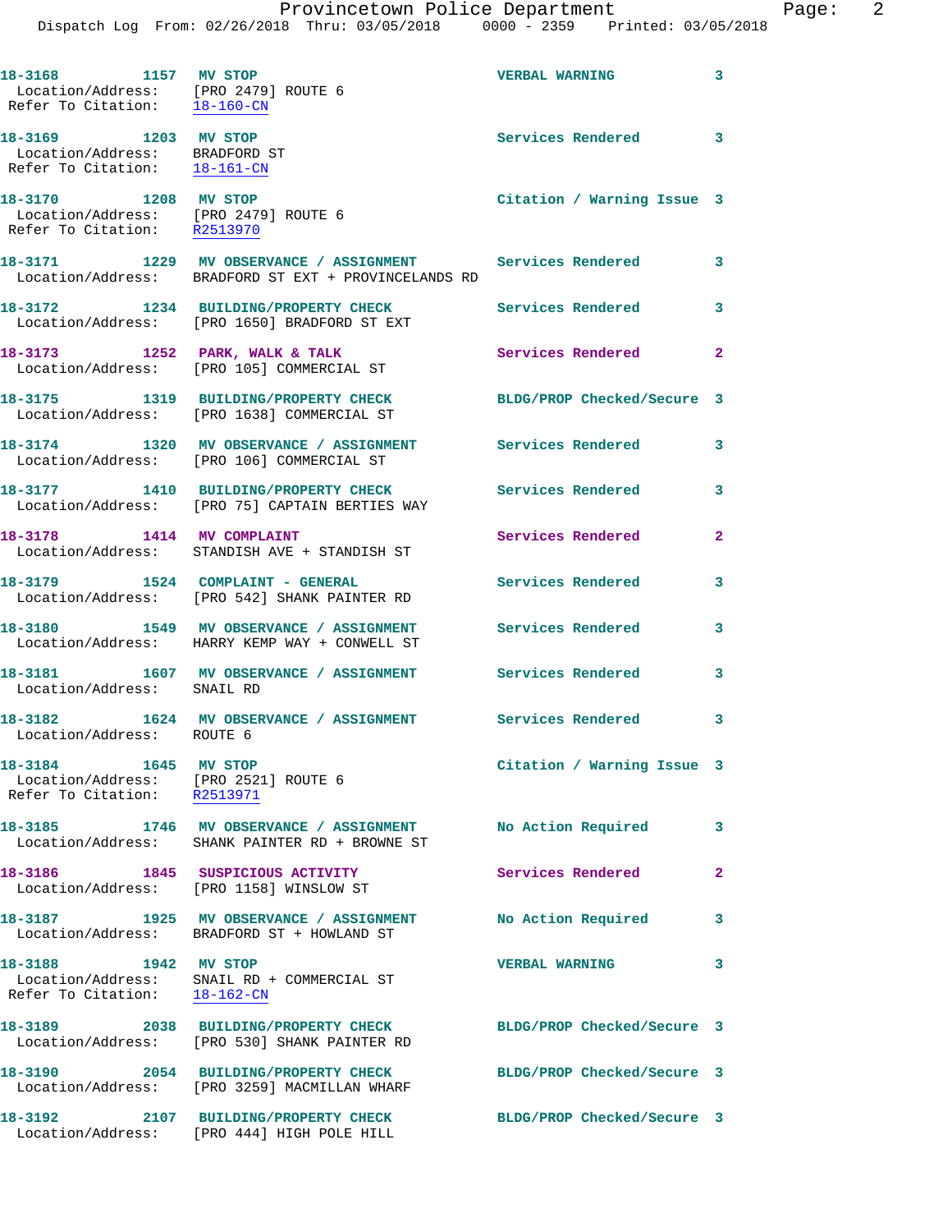| 18-3168 1157 MV STOP<br>Location/Address: [PRO 2479] ROUTE 6<br>Refer To Citation: 18-160-CN |                                                                                                                   | <b>VERBAL WARNING</b>      | $\overline{\mathbf{3}}$    |
|----------------------------------------------------------------------------------------------|-------------------------------------------------------------------------------------------------------------------|----------------------------|----------------------------|
| 18-3169 1203 MV STOP<br>Location/Address: BRADFORD ST<br>Refer To Citation: 18-161-CN        |                                                                                                                   | Services Rendered 3        |                            |
| 18-3170 1208 MV STOP<br>Location/Address: [PRO 2479] ROUTE 6<br>Refer To Citation: R2513970  |                                                                                                                   | Citation / Warning Issue 3 |                            |
|                                                                                              | 18-3171 1229 MV OBSERVANCE / ASSIGNMENT Services Rendered<br>Location/Address: BRADFORD ST EXT + PROVINCELANDS RD |                            | $\overline{\phantom{a}}$ 3 |
|                                                                                              | 18-3172 1234 BUILDING/PROPERTY CHECK<br>Location/Address: [PRO 1650] BRADFORD ST EXT                              | <b>Services Rendered</b>   | 3                          |
|                                                                                              | 18-3173 1252 PARK, WALK & TALK<br>Location/Address: [PRO 105] COMMERCIAL ST                                       | Services Rendered 2        |                            |
|                                                                                              | 18-3175 1319 BUILDING/PROPERTY CHECK<br>Location/Address: [PRO 1638] COMMERCIAL ST                                | BLDG/PROP Checked/Secure 3 |                            |
|                                                                                              | 18-3174 1320 MV OBSERVANCE / ASSIGNMENT Services Rendered<br>Location/Address: [PRO 106] COMMERCIAL ST            |                            | 3                          |
|                                                                                              | 18-3177 1410 BUILDING/PROPERTY CHECK<br>Location/Address: [PRO 75] CAPTAIN BERTIES WAY                            | <b>Services Rendered</b>   | 3                          |
| 18-3178 1414 MV COMPLAINT                                                                    | Location/Address: STANDISH AVE + STANDISH ST                                                                      | Services Rendered          | $\mathbf{2}$               |
|                                                                                              | 18-3179 1524 COMPLAINT - GENERAL<br>Location/Address: [PRO 542] SHANK PAINTER RD                                  | Services Rendered          | 3                          |
|                                                                                              | 18-3180 1549 MV OBSERVANCE / ASSIGNMENT<br>Location/Address: HARRY KEMP WAY + CONWELL ST                          | Services Rendered          | 3                          |
| Location/Address: SNAIL RD                                                                   | 18-3181 1607 MV OBSERVANCE / ASSIGNMENT Services Rendered                                                         |                            | 3                          |
| Location/Address: ROUTE 6                                                                    | 18-3182 1624 MV OBSERVANCE / ASSIGNMENT Services Rendered                                                         |                            | 3                          |
| 18-3184 1645 MV STOP<br>Location/Address: [PRO 2521] ROUTE 6<br>Refer To Citation: R2513971  |                                                                                                                   | Citation / Warning Issue 3 |                            |
| 18-3185                                                                                      | 1746 MV OBSERVANCE / ASSIGNMENT<br>Location/Address: SHANK PAINTER RD + BROWNE ST                                 | No Action Required         | 3                          |
|                                                                                              | 18-3186 1845 SUSPICIOUS ACTIVITY<br>Location/Address: [PRO 1158] WINSLOW ST                                       | Services Rendered          | $\mathbf{2}$               |
|                                                                                              | 18-3187 1925 MV OBSERVANCE / ASSIGNMENT<br>Location/Address: BRADFORD ST + HOWLAND ST                             | No Action Required         | 3                          |
| 18-3188<br>1942 MV STOP<br>Refer To Citation: 18-162-CN                                      | Location/Address: SNAIL RD + COMMERCIAL ST                                                                        | <b>VERBAL WARNING</b>      | 3                          |
| Location/Address:                                                                            | 18-3189 2038 BUILDING/PROPERTY CHECK<br>[PRO 530] SHANK PAINTER RD                                                | BLDG/PROP Checked/Secure 3 |                            |
| 18-3190                                                                                      | 2054 BUILDING/PROPERTY CHECK<br>Location/Address: [PRO 3259] MACMILLAN WHARF                                      | BLDG/PROP Checked/Secure 3 |                            |
|                                                                                              | 18-3192 2107 BUILDING/PROPERTY CHECK<br>Location/Address: [PRO 444] HIGH POLE HILL                                | BLDG/PROP Checked/Secure 3 |                            |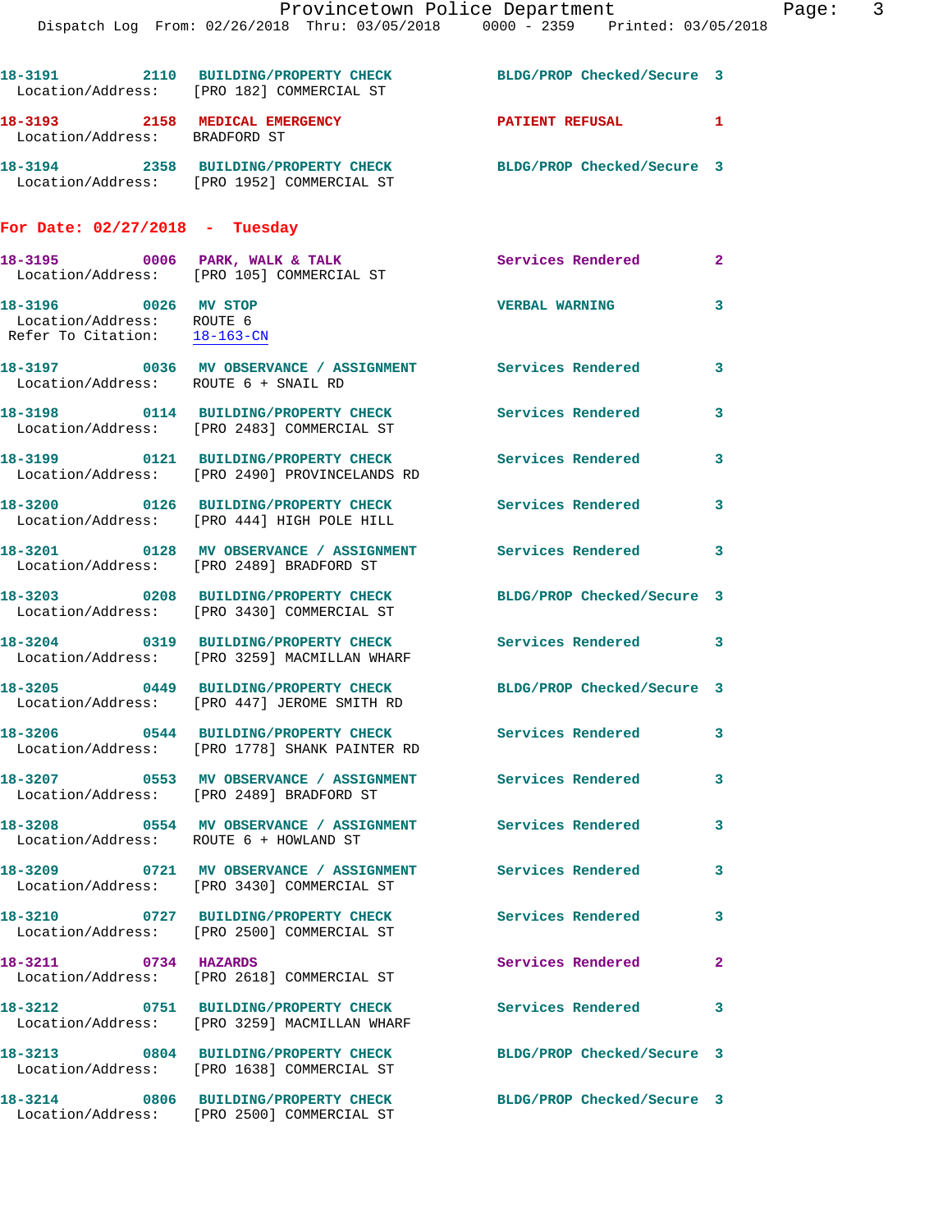|                                                                                   | Dispatch Log From: 02/26/2018 Thru: 03/05/2018 0000 - 2359 Printed: 03/05/2018                                 | Provincetown Police Department | Page: 3                 |
|-----------------------------------------------------------------------------------|----------------------------------------------------------------------------------------------------------------|--------------------------------|-------------------------|
|                                                                                   |                                                                                                                |                                |                         |
|                                                                                   | 18-3191 2110 BUILDING/PROPERTY CHECK<br>Location/Address: [PRO 182] COMMERCIAL ST                              | BLDG/PROP Checked/Secure 3     |                         |
| Location/Address: BRADFORD ST                                                     | 18-3193 2158 MEDICAL EMERGENCY                                                                                 | PATIENT REFUSAL                | 1                       |
|                                                                                   | 18-3194 2358 BUILDING/PROPERTY CHECK BLDG/PROP Checked/Secure 3<br>Location/Address: [PRO 1952] COMMERCIAL ST  |                                |                         |
| For Date: $02/27/2018$ - Tuesday                                                  |                                                                                                                |                                |                         |
|                                                                                   | 18-3195 0006 PARK, WALK & TALK<br>Location/Address: [PRO 105] COMMERCIAL ST                                    | Services Rendered 2            |                         |
| 18-3196 0026 MV STOP<br>Location/Address: ROUTE 6<br>Refer To Citation: 18-163-CN |                                                                                                                | <b>VERBAL WARNING</b>          | 3                       |
| Location/Address: ROUTE 6 + SNAIL RD                                              | 18-3197 0036 MV OBSERVANCE / ASSIGNMENT Services Rendered 3                                                    |                                |                         |
|                                                                                   | 18-3198 0114 BUILDING/PROPERTY CHECK<br>Location/Address: [PRO 2483] COMMERCIAL ST                             | Services Rendered              | 3                       |
|                                                                                   |                                                                                                                | Services Rendered              | 3                       |
|                                                                                   | 18-3200 0126 BUILDING/PROPERTY CHECK<br>Location/Address: [PRO 444] HIGH POLE HILL                             | Services Rendered              | $\overline{\mathbf{3}}$ |
|                                                                                   | 18-3201 0128 MV OBSERVANCE / ASSIGNMENT Services Rendered<br>Location/Address: [PRO 2489] BRADFORD ST          |                                | 3                       |
|                                                                                   | 18-3203 0208 BUILDING/PROPERTY CHECK BLDG/PROP Checked/Secure 3<br>Location/Address: [PRO 3430] COMMERCIAL ST  |                                |                         |
|                                                                                   | 18-3204 0319 BUILDING/PROPERTY CHECK Services Rendered<br>Location/Address: [PRO 3259] MACMILLAN WHARF         |                                | $\overline{\mathbf{3}}$ |
|                                                                                   | 18-3205 0449 BUILDING/PROPERTY CHECK BLDG/PROP Checked/Secure 3<br>Location/Address: [PRO 447] JEROME SMITH RD |                                |                         |
|                                                                                   | 18-3206 0544 BUILDING/PROPERTY CHECK Services Rendered<br>Location/Address: [PRO 1778] SHANK PAINTER RD        |                                | 3                       |
|                                                                                   | 18-3207 6553 MV OBSERVANCE / ASSIGNMENT Services Rendered<br>Location/Address: [PRO 2489] BRADFORD ST          |                                | 3                       |
| Location/Address: ROUTE 6 + HOWLAND ST                                            | 18-3208 0554 MV OBSERVANCE / ASSIGNMENT Services Rendered                                                      |                                | 3                       |
|                                                                                   | 18-3209 6721 MV OBSERVANCE / ASSIGNMENT Services Rendered<br>Location/Address: [PRO 3430] COMMERCIAL ST        |                                | 3                       |
|                                                                                   | 18-3210 0727 BUILDING/PROPERTY CHECK<br>Location/Address: [PRO 2500] COMMERCIAL ST                             | Services Rendered              | 3                       |
| 18-3211 0734 HAZARDS                                                              | Location/Address: [PRO 2618] COMMERCIAL ST                                                                     | Services Rendered              | $\mathbf{2}$            |
|                                                                                   | 18-3212 0751 BUILDING/PROPERTY CHECK<br>Location/Address: [PRO 3259] MACMILLAN WHARF                           | Services Rendered              | 3                       |
|                                                                                   | 18-3213 0804 BUILDING/PROPERTY CHECK BLDG/PROP Checked/Secure 3<br>Location/Address: [PRO 1638] COMMERCIAL ST  |                                |                         |
|                                                                                   | 18-3214 0806 BUILDING/PROPERTY CHECK<br>Location/Address: [PRO 2500] COMMERCIAL ST                             | BLDG/PROP Checked/Secure 3     |                         |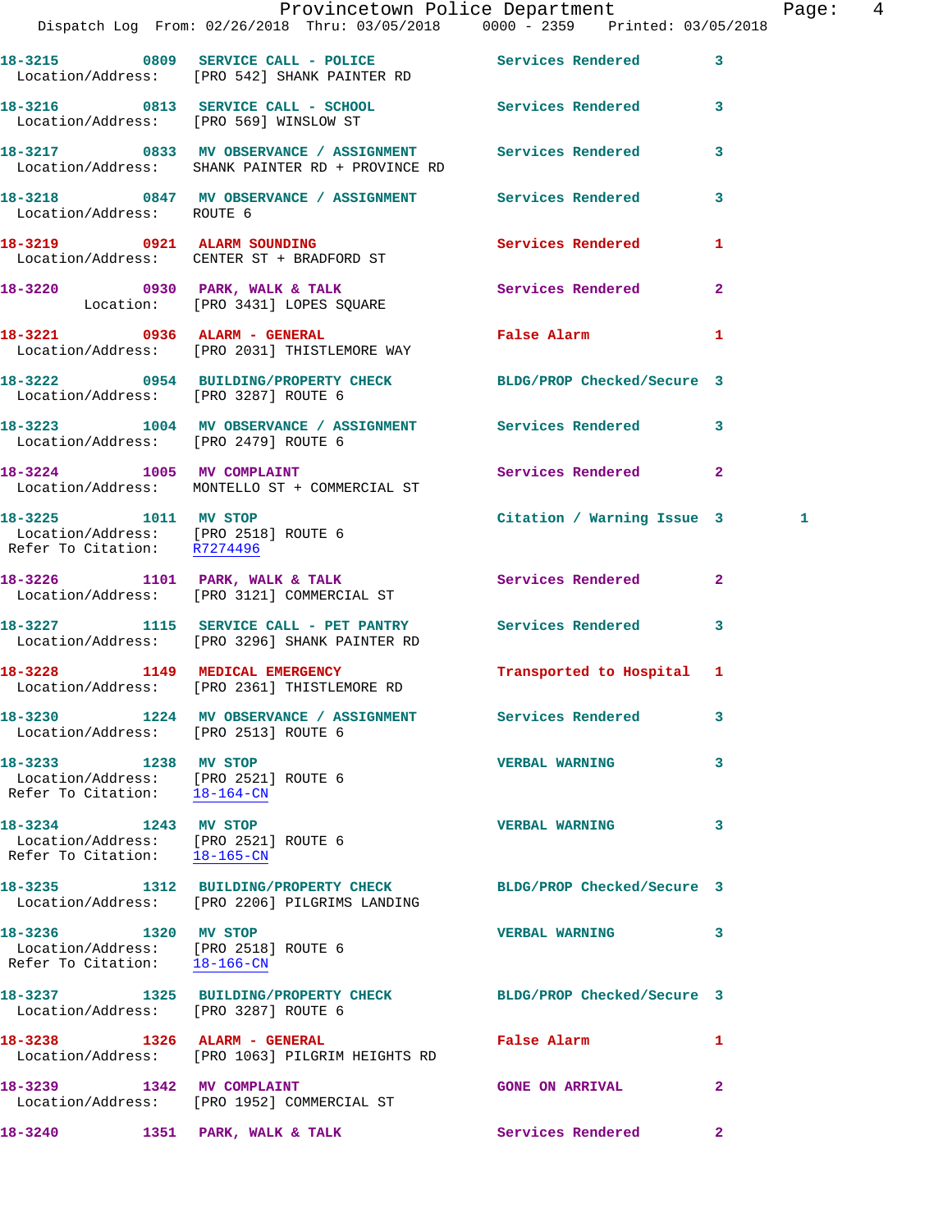|                                                                                              | Provincetown Police Department<br>Dispatch Log From: 02/26/2018 Thru: 03/05/2018 0000 - 2359 Printed: 03/05/2018 |                            | Page: 4      |
|----------------------------------------------------------------------------------------------|------------------------------------------------------------------------------------------------------------------|----------------------------|--------------|
|                                                                                              | 18-3215 0809 SERVICE CALL - POLICE Services Rendered 3<br>Location/Address: [PRO 542] SHANK PAINTER RD           |                            |              |
|                                                                                              | 18-3216 0813 SERVICE CALL - SCHOOL Services Rendered 3<br>Location/Address: [PRO 569] WINSLOW ST                 |                            |              |
|                                                                                              | 18-3217 0833 MV OBSERVANCE / ASSIGNMENT Services Rendered<br>Location/Address: SHANK PAINTER RD + PROVINCE RD    |                            | $\mathbf{3}$ |
| Location/Address: ROUTE 6                                                                    | 18-3218 0847 MV OBSERVANCE / ASSIGNMENT Services Rendered 3                                                      |                            |              |
|                                                                                              | 18-3219 0921 ALARM SOUNDING<br>Location/Address: CENTER ST + BRADFORD ST                                         | Services Rendered          | 1            |
|                                                                                              | 18-3220 0930 PARK, WALK & TALK Services Rendered 2<br>Location: [PRO 3431] LOPES SQUARE                          |                            |              |
|                                                                                              | 18-3221 0936 ALARM - GENERAL<br>Location/Address: [PRO 2031] THISTLEMORE WAY                                     | False Alarm 1              |              |
|                                                                                              | 18-3222 0954 BUILDING/PROPERTY CHECK BLDG/PROP Checked/Secure 3<br>Location/Address: [PRO 3287] ROUTE 6          |                            |              |
| Location/Address: [PRO 2479] ROUTE 6                                                         | 18-3223 1004 MV OBSERVANCE / ASSIGNMENT Services Rendered 3                                                      |                            |              |
|                                                                                              | 18-3224 1005 MV COMPLAINT<br>Location/Address: MONTELLO ST + COMMERCIAL ST                                       | Services Rendered 2        |              |
| 18-3225 1011 MV STOP<br>Location/Address: [PRO 2518] ROUTE 6<br>Refer To Citation: R7274496  |                                                                                                                  | Citation / Warning Issue 3 | 1            |
|                                                                                              | 18-3226 1101 PARK, WALK & TALK<br>Location/Address: [PRO 3121] COMMERCIAL ST                                     | Services Rendered          | $\mathbf{2}$ |
|                                                                                              | 18-3227 1115 SERVICE CALL - PET PANTRY Services Rendered 3<br>Location/Address: [PRO 3296] SHANK PAINTER RD      |                            |              |
|                                                                                              | 18-3228 1149 MEDICAL EMERGENCY<br>Location/Address: [PRO 2361] THISTLEMORE RD                                    | Transported to Hospital 1  |              |
|                                                                                              | 18-3230 1224 MV OBSERVANCE / ASSIGNMENT Services Rendered<br>  Location/Address: [PRO 2513] ROUTE 6              |                            | 3            |
| 18-3233 1238 MV STOP<br>Location/Address: [PRO 2521] ROUTE 6<br>Refer To Citation: 18-164-CN |                                                                                                                  | <b>VERBAL WARNING</b>      | 3            |
| 18-3234 1243 MV STOP<br>Location/Address: [PRO 2521] ROUTE 6<br>Refer To Citation: 18-165-CN |                                                                                                                  | <b>VERBAL WARNING</b>      | $\mathbf{3}$ |
|                                                                                              | 18-3235 1312 BUILDING/PROPERTY CHECK<br>Location/Address: [PRO 2206] PILGRIMS LANDING                            | BLDG/PROP Checked/Secure 3 |              |
| 18-3236 1320 MV STOP<br>Location/Address: [PRO 2518] ROUTE 6<br>Refer To Citation: 18-166-CN |                                                                                                                  | VERBAL WARNING 3           |              |
| Location/Address: [PRO 3287] ROUTE 6                                                         | 18-3237 1325 BUILDING/PROPERTY CHECK BLDG/PROP Checked/Secure 3                                                  |                            |              |
|                                                                                              | 18-3238 1326 ALARM - GENERAL<br>Location/Address: [PRO 1063] PILGRIM HEIGHTS RD                                  | False Alarm                | $\mathbf{1}$ |
|                                                                                              | 18-3239 1342 MV COMPLAINT<br>Location/Address: [PRO 1952] COMMERCIAL ST                                          | <b>GONE ON ARRIVAL</b>     | $\mathbf{2}$ |
| 18-3240 1351 PARK, WALK & TALK                                                               |                                                                                                                  | Services Rendered 2        |              |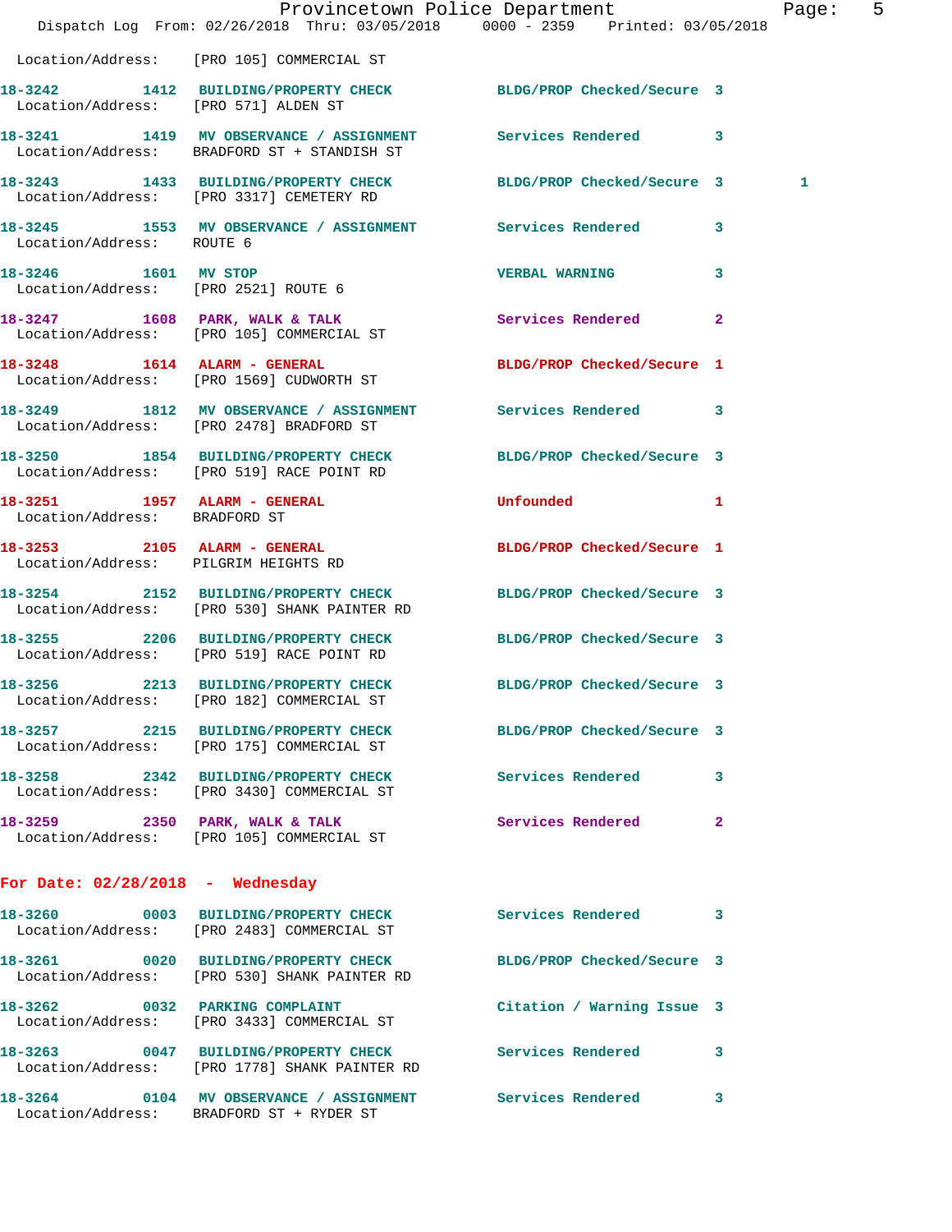|                                      | Dispatch Log From: 02/26/2018 Thru: 03/05/2018 0000 - 2359 Printed: 03/05/2018                                  | Provincetown Police Department |              | Page: 5 |  |
|--------------------------------------|-----------------------------------------------------------------------------------------------------------------|--------------------------------|--------------|---------|--|
|                                      | Location/Address: [PRO 105] COMMERCIAL ST                                                                       |                                |              |         |  |
| Location/Address: [PRO 571] ALDEN ST | 18-3242 1412 BUILDING/PROPERTY CHECK BLDG/PROP Checked/Secure 3                                                 |                                |              |         |  |
|                                      | 18-3241 1419 MV OBSERVANCE / ASSIGNMENT Services Rendered 3<br>Location/Address: BRADFORD ST + STANDISH ST      |                                |              |         |  |
|                                      | 18-3243 1433 BUILDING/PROPERTY CHECK BLDG/PROP Checked/Secure 3<br>Location/Address: [PRO 3317] CEMETERY RD     |                                |              | 1       |  |
| Location/Address: ROUTE 6            | 18-3245 1553 MV OBSERVANCE / ASSIGNMENT Services Rendered 3                                                     |                                |              |         |  |
| 18-3246 1601 MV STOP                 | Location/Address: [PRO 2521] ROUTE 6                                                                            | <b>VERBAL WARNING</b>          | 3            |         |  |
|                                      | 18-3247 1608 PARK, WALK & TALK<br>Location/Address: [PRO 105] COMMERCIAL ST                                     | Services Rendered              | $\mathbf{2}$ |         |  |
|                                      | 18-3248 1614 ALARM - GENERAL<br>Location/Address: [PRO 1569] CUDWORTH ST                                        | BLDG/PROP Checked/Secure 1     |              |         |  |
|                                      | 18-3249 1812 MV OBSERVANCE / ASSIGNMENT Services Rendered 3<br>Location/Address: [PRO 2478] BRADFORD ST         |                                |              |         |  |
|                                      | 18-3250 1854 BUILDING/PROPERTY CHECK BLDG/PROP Checked/Secure 3<br>Location/Address: [PRO 519] RACE POINT RD    |                                |              |         |  |
| Location/Address: BRADFORD ST        | 18-3251 1957 ALARM - GENERAL                                                                                    | <b>Unfounded</b>               | 1            |         |  |
| Location/Address: PILGRIM HEIGHTS RD | 18-3253 2105 ALARM - GENERAL                                                                                    | BLDG/PROP Checked/Secure 1     |              |         |  |
|                                      | 18-3254 2152 BUILDING/PROPERTY CHECK BLDG/PROP Checked/Secure 3<br>Location/Address: [PRO 530] SHANK PAINTER RD |                                |              |         |  |
|                                      | 18-3255 2206 BUILDING/PROPERTY CHECK BLDG/PROP Checked/Secure 3<br>Location/Address: [PRO 519] RACE POINT RD    |                                |              |         |  |
| 18-3256                              | 2213 BUILDING/PROPERTY CHECK<br>Location/Address: [PRO 182] COMMERCIAL ST                                       | BLDG/PROP Checked/Secure 3     |              |         |  |
|                                      | 18-3257 2215 BUILDING/PROPERTY CHECK BLDG/PROP Checked/Secure 3<br>Location/Address: [PRO 175] COMMERCIAL ST    |                                |              |         |  |
|                                      | 18-3258 2342 BUILDING/PROPERTY CHECK Services Rendered 3<br>Location/Address: [PRO 3430] COMMERCIAL ST          |                                |              |         |  |
|                                      | 18-3259 2350 PARK, WALK & TALK<br>Location/Address: [PRO 105] COMMERCIAL ST                                     | Services Rendered              | $\mathbf{2}$ |         |  |
| For Date: $02/28/2018$ - Wednesday   |                                                                                                                 |                                |              |         |  |
|                                      | 18-3260 0003 BUILDING/PROPERTY CHECK Services Rendered 3<br>Location/Address: [PRO 2483] COMMERCIAL ST          |                                |              |         |  |
|                                      | 18-3261 0020 BUILDING/PROPERTY CHECK<br>Location/Address: [PRO 530] SHANK PAINTER RD                            | BLDG/PROP Checked/Secure 3     |              |         |  |
|                                      | 18-3262 0032 PARKING COMPLAINT<br>Location/Address: [PRO 3433] COMMERCIAL ST                                    | Citation / Warning Issue 3     |              |         |  |
|                                      | 18-3263 0047 BUILDING/PROPERTY CHECK Services Rendered 3<br>Location/Address: [PRO 1778] SHANK PAINTER RD       |                                |              |         |  |
|                                      | 18-3264 0104 MV OBSERVANCE / ASSIGNMENT Services Rendered<br>Location/Address: BRADFORD ST + RYDER ST           |                                | 3            |         |  |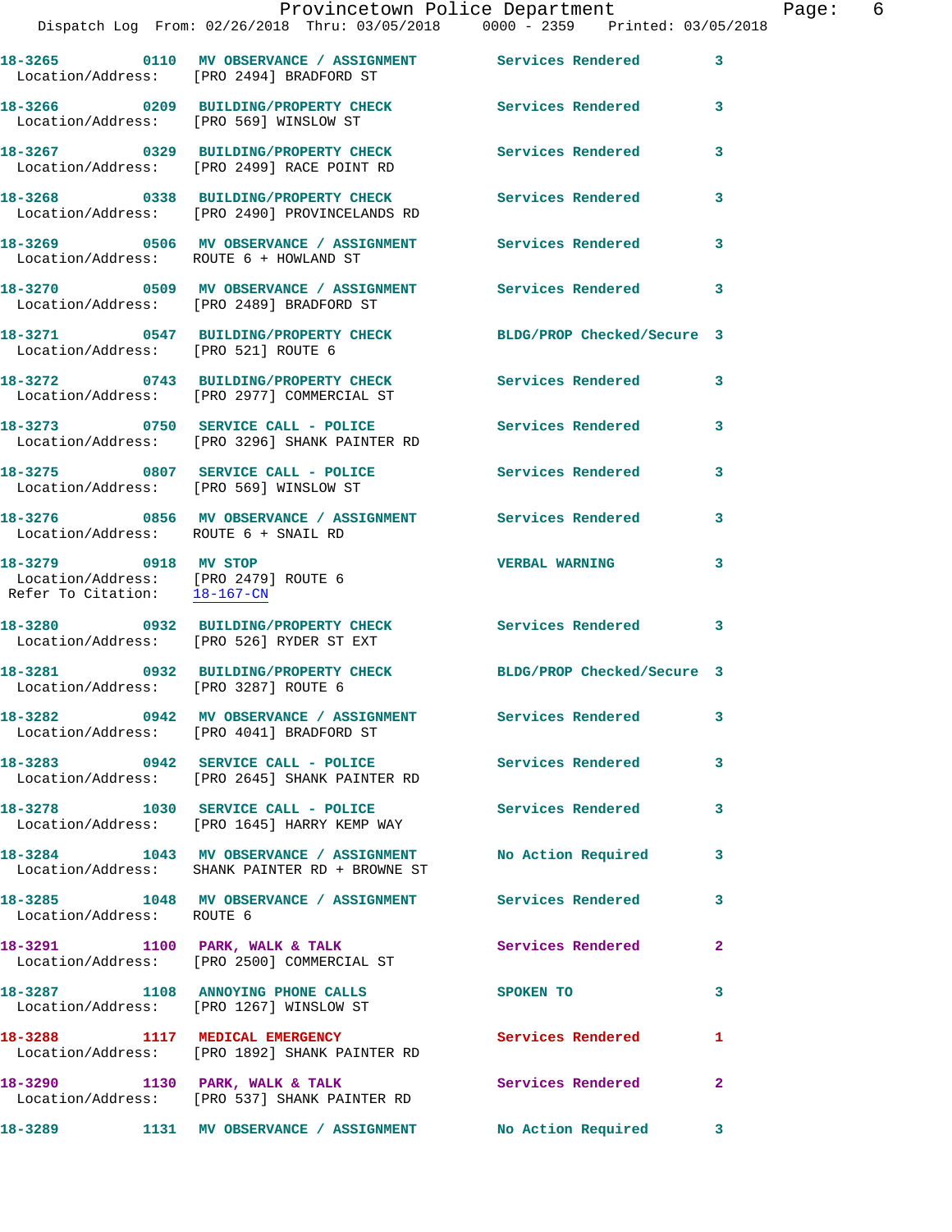|                                        | Provincetown Police Department<br>Dispatch Log From: 02/26/2018 Thru: 03/05/2018 0000 - 2359 Printed: 03/05/2018 |                          |   |
|----------------------------------------|------------------------------------------------------------------------------------------------------------------|--------------------------|---|
|                                        | 18-3265   0110 MV OBSERVANCE / ASSIGNMENT   Services Rendered<br>Location/Address: [PRO 2494] BRADFORD ST        |                          | 3 |
|                                        | 18-3266 0209 BUILDING/PROPERTY CHECK<br>Location/Address: [PRO 569] WINSLOW ST                                   | Services Rendered        | 3 |
|                                        | 18-3267 		 0329 BUILDING/PROPERTY CHECK 		 Services Rendered<br>Location/Address: [PRO 2499] RACE POINT RD       |                          | 3 |
|                                        | Location/Address: [PRO 2490] PROVINCELANDS RD                                                                    |                          | 3 |
| Location/Address: ROUTE 6 + HOWLAND ST |                                                                                                                  |                          | 3 |
|                                        | Location/Address: [PRO 2489] BRADFORD ST                                                                         |                          | 3 |
| Location/Address: [PRO 521] ROUTE 6    | 18-3271 0547 BUILDING/PROPERTY CHECK BLDG/PROP Checked/Secure 3                                                  |                          |   |
|                                        | 18-3272 0743 BUILDING/PROPERTY CHECK<br>Location/Address: [PRO 2977] COMMERCIAL ST                               | <b>Services Rendered</b> | 3 |
|                                        | 18-3273 0750 SERVICE CALL - POLICE 3273 Services Rendered<br>Location/Address: [PRO 3296] SHANK PAINTER RD       |                          | 3 |
|                                        | 18-3275 0807 SERVICE CALL - POLICE<br>Location/Address: [PRO 569] WINSLOW ST                                     | Services Rendered        | 3 |
| Location/Address: ROUTE 6 + SNAIL RD   |                                                                                                                  |                          | 3 |
| 18-3279 0918 MV STOP                   |                                                                                                                  | <b>VERBAL WARNING</b>    | 3 |

Refer To Citation: 18-167-CN

Location/Address: [PRO 3287] ROUTE 6

Location/Address: ROUTE 6

Location/Address: [PRO 1267] WINSLOW ST

**18-3288 1117 MEDICAL EMERGENCY Services Rendered 1**  Location/Address: [PRO 1892] SHANK PAINTER RD

18-3290 1130 PARK, WALK & TALK **Services Rendered** 2 Location/Address: [PRO 537] SHANK PAINTER RD

18-3291 1100 PARK, WALK & TALK **Services Rendered** 2 Location/Address: [PRO 2500] COMMERCIAL ST

Location/Address: [PRO 2479] ROUTE 6

**18-3280 0932 BUILDING/PROPERTY CHECK Services Rendered 3**  Location/Address: [PRO 526] RYDER ST EXT

**18-3281 0932 BUILDING/PROPERTY CHECK BLDG/PROP Checked/Secure 3** 

**18-3282 0942 MV OBSERVANCE / ASSIGNMENT Services Rendered 3**  Location/Address: [PRO 4041] BRADFORD ST

**18-3283 0942 SERVICE CALL - POLICE Services Rendered 3**  Location/Address: [PRO 2645] SHANK PAINTER RD

**18-3278 1030 SERVICE CALL - POLICE Services Rendered 3**  Location/Address: [PRO 1645] HARRY KEMP WAY

**18-3284 1043 MV OBSERVANCE / ASSIGNMENT No Action Required 3**  Location/Address: SHANK PAINTER RD + BROWNE ST

**18-3285 1048 MV OBSERVANCE / ASSIGNMENT Services Rendered 3** 

**18-3287 1108 ANNOYING PHONE CALLS SPOKEN TO 3** 

**18-3289 1131 MV OBSERVANCE / ASSIGNMENT No Action Required 3**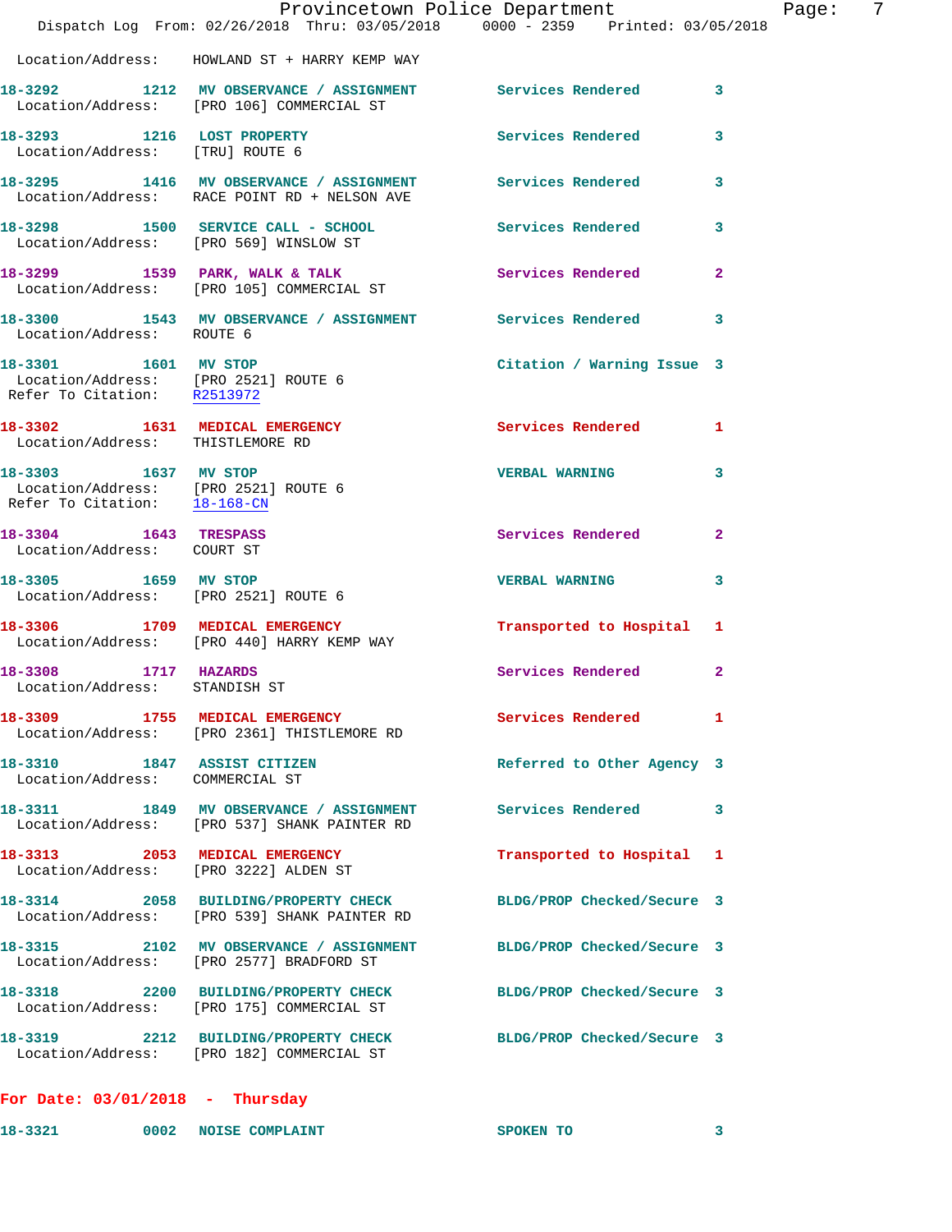|                                                                                              | Provincetown Police Department<br>Dispatch Log From: 02/26/2018 Thru: 03/05/2018 0000 - 2359 Printed: 03/05/2018 |                              |              |
|----------------------------------------------------------------------------------------------|------------------------------------------------------------------------------------------------------------------|------------------------------|--------------|
|                                                                                              | Location/Address: HOWLAND ST + HARRY KEMP WAY                                                                    |                              |              |
|                                                                                              | 18-3292 1212 MV OBSERVANCE / ASSIGNMENT Services Rendered 3<br>Location/Address: [PRO 106] COMMERCIAL ST         |                              |              |
| 18-3293 1216 LOST PROPERTY<br>Location/Address: [TRU] ROUTE 6                                |                                                                                                                  | <b>Services Rendered</b>     | 3            |
|                                                                                              | 18-3295 1416 MV OBSERVANCE / ASSIGNMENT Services Rendered<br>Location/Address: RACE POINT RD + NELSON AVE        |                              | 3            |
|                                                                                              | 18-3298 1500 SERVICE CALL - SCHOOL<br>Location/Address: [PRO 569] WINSLOW ST                                     | Services Rendered            | 3            |
|                                                                                              | 18-3299 1539 PARK, WALK & TALK<br>Location/Address: [PRO 105] COMMERCIAL ST                                      | Services Rendered            | $\mathbf{2}$ |
| Location/Address: ROUTE 6                                                                    | 18-3300 1543 MV OBSERVANCE / ASSIGNMENT Services Rendered                                                        |                              | 3            |
| 18-3301 1601 MV STOP<br>Location/Address: [PRO 2521] ROUTE 6<br>Refer To Citation: R2513972  |                                                                                                                  | Citation / Warning Issue 3   |              |
| 18-3302 1631 MEDICAL EMERGENCY<br>Location/Address: THISTLEMORE RD                           |                                                                                                                  | Services Rendered            | 1            |
| 18-3303 1637 MV STOP<br>Location/Address: [PRO 2521] ROUTE 6<br>Refer To Citation: 18-168-CN |                                                                                                                  | <b>VERBAL WARNING</b>        | 3            |
| 18-3304 1643 TRESPASS<br>Location/Address: COURT ST                                          |                                                                                                                  | Services Rendered            | $\mathbf{2}$ |
| 18-3305 1659 MV STOP                                                                         | Location/Address: [PRO 2521] ROUTE 6                                                                             | <b>VERBAL WARNING</b>        | 3            |
|                                                                                              | 18-3306 1709 MEDICAL EMERGENCY<br>Location/Address: [PRO 440] HARRY KEMP WAY                                     | Transported to Hospital 1    |              |
| 18-3308 1717 HAZARDS<br>Location/Address: STANDISH ST                                        |                                                                                                                  | Services Rendered            | $\mathbf{2}$ |
|                                                                                              | 18-3309 1755 MEDICAL EMERGENCY<br>Location/Address: [PRO 2361] THISTLEMORE RD                                    | Services Rendered 1          |              |
| 18-3310 1847 ASSIST CITIZEN<br>Location/Address: COMMERCIAL ST                               |                                                                                                                  | Referred to Other Agency 3   |              |
|                                                                                              | 18-3311 1849 MV OBSERVANCE / ASSIGNMENT<br>Location/Address: [PRO 537] SHANK PAINTER RD                          | Services Rendered 3          |              |
| Location/Address: [PRO 3222] ALDEN ST                                                        | 18-3313 2053 MEDICAL EMERGENCY                                                                                   | Transported to Hospital 1    |              |
|                                                                                              | 18-3314 2058 BUILDING/PROPERTY CHECK<br>Location/Address: [PRO 539] SHANK PAINTER RD                             | BLDG/PROP Checked/Secure 3   |              |
|                                                                                              | 18-3315 2102 MV OBSERVANCE / ASSIGNMENT<br>Location/Address: [PRO 2577] BRADFORD ST                              | BLDG/PROP Checked/Secure 3   |              |
|                                                                                              | 18-3318 2200 BUILDING/PROPERTY CHECK<br>Location/Address: [PRO 175] COMMERCIAL ST                                | BLDG/PROP Checked/Secure 3   |              |
|                                                                                              | 18-3319 2212 BUILDING/PROPERTY CHECK<br>Location/Address: [PRO 182] COMMERCIAL ST                                | BLDG/PROP Checked/Secure 3   |              |
| For Date: $03/01/2018$ - Thursday                                                            |                                                                                                                  |                              |              |
| 18-3321 0002 NOISE COMPLAINT                                                                 |                                                                                                                  | <b>SPOKEN TO</b><br>$\sim$ 3 |              |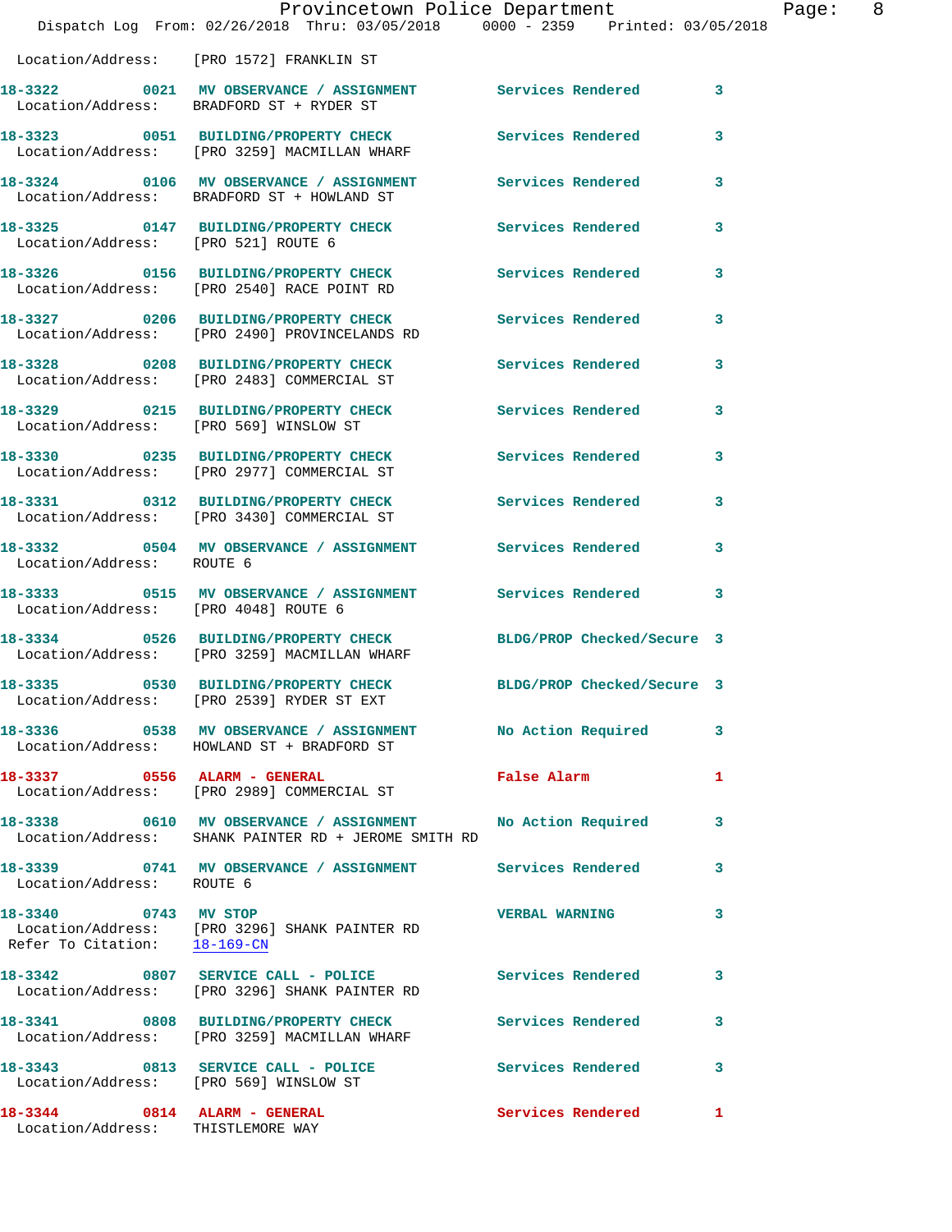|                                      | Provincetown Police Department                                                                                                    |                          |              |
|--------------------------------------|-----------------------------------------------------------------------------------------------------------------------------------|--------------------------|--------------|
|                                      | Dispatch Log From: 02/26/2018 Thru: 03/05/2018 0000 - 2359 Printed: 03/05/2018                                                    |                          |              |
|                                      | Location/Address: [PRO 1572] FRANKLIN ST                                                                                          |                          |              |
|                                      | 18-3322 0021 MV OBSERVANCE / ASSIGNMENT Services Rendered<br>Location/Address: BRADFORD ST + RYDER ST                             |                          | 3            |
|                                      | 18-3323 0051 BUILDING/PROPERTY CHECK<br>Location/Address: [PRO 3259] MACMILLAN WHARF                                              | <b>Services Rendered</b> | 3            |
|                                      | 18-3324 0106 MV OBSERVANCE / ASSIGNMENT Services Rendered<br>Location/Address: BRADFORD ST + HOWLAND ST                           |                          | 3            |
| Location/Address: [PRO 521] ROUTE 6  | 18-3325 0147 BUILDING/PROPERTY CHECK                                                                                              | <b>Services Rendered</b> | 3            |
|                                      | 18-3326 0156 BUILDING/PROPERTY CHECK<br>Location/Address: [PRO 2540] RACE POINT RD                                                | Services Rendered        | 3            |
|                                      | 18-3327 0206 BUILDING/PROPERTY CHECK Services Rendered<br>Location/Address: [PRO 2490] PROVINCELANDS RD                           |                          | 3            |
|                                      | 18-3328 0208 BUILDING/PROPERTY CHECK Services Rendered<br>Location/Address: [PRO 2483] COMMERCIAL ST                              |                          | 3            |
|                                      | 18-3329 0215 BUILDING/PROPERTY CHECK Services Rendered<br>Location/Address: [PRO 569] WINSLOW ST                                  |                          | 3            |
|                                      | 18-3330 0235 BUILDING/PROPERTY CHECK<br>Location/Address: [PRO 2977] COMMERCIAL ST                                                | <b>Services Rendered</b> | 3            |
|                                      | 18-3331 0312 BUILDING/PROPERTY CHECK Services Rendered<br>Location/Address: [PRO 3430] COMMERCIAL ST                              |                          | 3            |
| Location/Address: ROUTE 6            | 18-3332 0504 MV OBSERVANCE / ASSIGNMENT Services Rendered                                                                         |                          | 3            |
| Location/Address: [PRO 4048] ROUTE 6 | 18-3333 6515 MV OBSERVANCE / ASSIGNMENT Services Rendered                                                                         |                          | 3            |
|                                      | 18-3334 0526 BUILDING/PROPERTY CHECK BLDG/PROP Checked/Secure 3<br>Location/Address: [PRO 3259] MACMILLAN WHARF                   |                          |              |
|                                      | 18-3335 0530 BUILDING/PROPERTY CHECK BLDG/PROP Checked/Secure 3<br>Location/Address: [PRO 2539] RYDER ST EXT                      |                          |              |
|                                      | 18-3336 6 0538 MV OBSERVANCE / ASSIGNMENT No Action Required<br>Location/Address: HOWLAND ST + BRADFORD ST                        |                          | 3            |
| 18-3337 0556 ALARM - GENERAL         | Location/Address: [PRO 2989] COMMERCIAL ST                                                                                        | False Alarm              | 1            |
|                                      | 18-3338 0610 MV OBSERVANCE / ASSIGNMENT No Action Required<br>Location/Address: SHANK PAINTER RD + JEROME SMITH RD                |                          | 3            |
| Location/Address: ROUTE 6            | 18-3339 0741 MV OBSERVANCE / ASSIGNMENT Services Rendered                                                                         |                          | 3            |
|                                      | 18-3340 0743 MV STOP<br>Location/Address: [PRO 3296] SHANK PAINTER RD<br>Refer To Citation: $\frac{18-169-CN}{\sqrt{16}-169-CN}}$ | <b>VERBAL WARNING</b>    | 3            |
|                                      | 18-3342 0807 SERVICE CALL - POLICE<br>Location/Address: [PRO 3296] SHANK PAINTER RD                                               | <b>Services Rendered</b> | 3            |
|                                      | 18-3341 0808 BUILDING/PROPERTY CHECK<br>Location/Address: [PRO 3259] MACMILLAN WHARF                                              | Services Rendered        | 3            |
|                                      | 18-3343 0813 SERVICE CALL - POLICE Services Rendered<br>Location/Address: [PRO 569] WINSLOW ST                                    |                          | 3            |
|                                      | 18-3344 0814 ALARM - GENERAL                                                                                                      | Services Rendered        | $\mathbf{1}$ |

Location/Address: THISTLEMORE WAY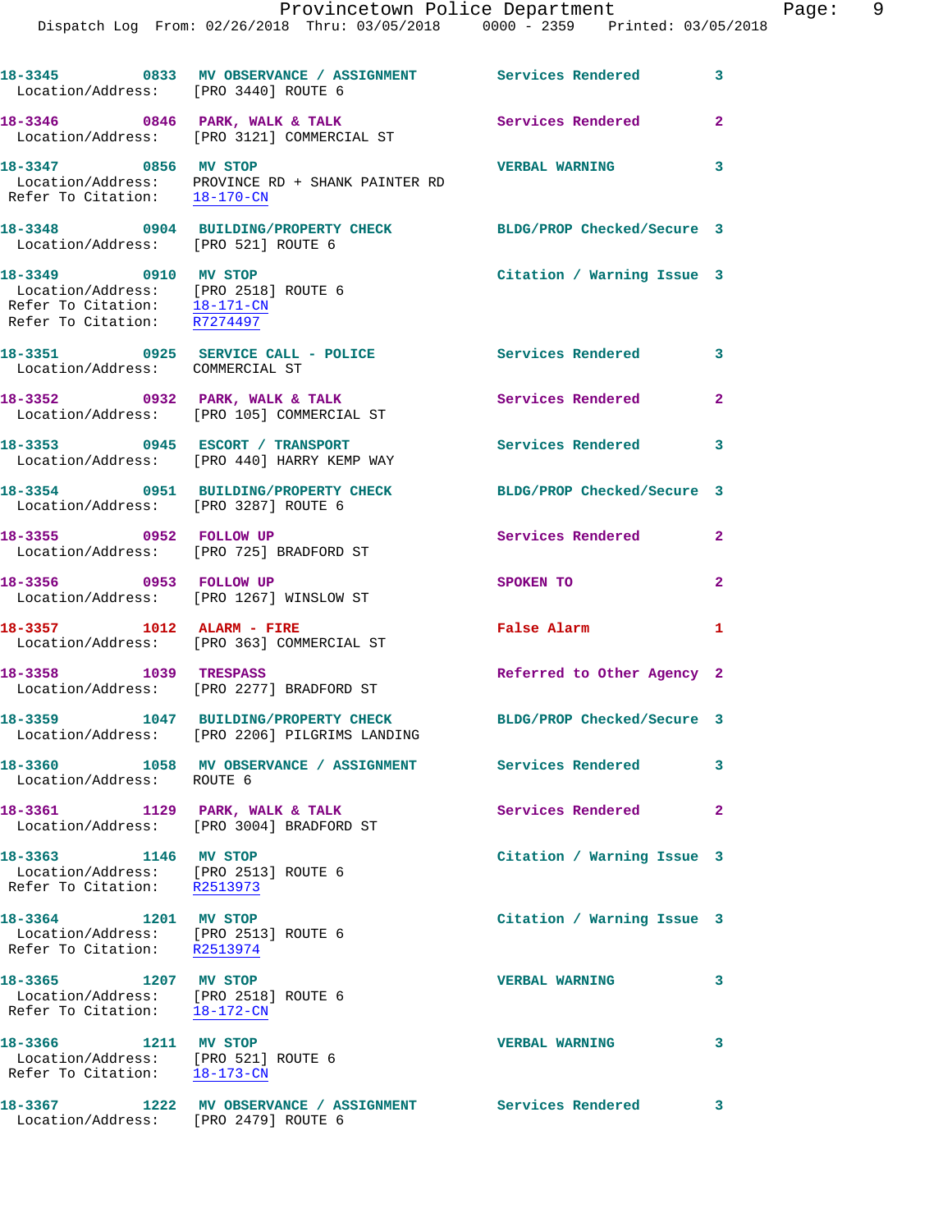|  |  | Provincetown Police Department        |  |                                 | Page: | - 9 |
|--|--|---------------------------------------|--|---------------------------------|-------|-----|
|  |  | Log From: 02/26/2018 Thru: 03/05/2018 |  | 0000 - 2359 Printed: 03/05/2018 |       |     |
|  |  |                                       |  |                                 |       |     |

 $\mathtt{Dispatch}$ 

| Location/Address: [PRO 3440] ROUTE 6                                                                                        | 18-3345 0833 MV OBSERVANCE / ASSIGNMENT Services Rendered 3                                                      |                             |                         |
|-----------------------------------------------------------------------------------------------------------------------------|------------------------------------------------------------------------------------------------------------------|-----------------------------|-------------------------|
|                                                                                                                             | 18-3346 0846 PARK, WALK & TALK<br>Location/Address: [PRO 3121] COMMERCIAL ST                                     | <b>Services Rendered 22</b> |                         |
| 18-3347 0856 MV STOP                                                                                                        | Location/Address: PROVINCE RD + SHANK PAINTER RD<br>Refer To Citation: 18-170-CN                                 | VERBAL WARNING 3            |                         |
| Location/Address: [PRO 521] ROUTE 6                                                                                         | 18-3348 0904 BUILDING/PROPERTY CHECK                                                                             | BLDG/PROP Checked/Secure 3  |                         |
| 18-3349 0910 MV STOP<br>Location/Address: [PRO 2518] ROUTE 6<br>Refer To Citation: 18-171-CN<br>Refer To Citation: R7274497 |                                                                                                                  | Citation / Warning Issue 3  |                         |
| Location/Address: COMMERCIAL ST                                                                                             | 18-3351 0925 SERVICE CALL - POLICE 3 Services Rendered 3                                                         |                             |                         |
|                                                                                                                             | 18-3352 0932 PARK, WALK & TALK<br>Location/Address: [PRO 105] COMMERCIAL ST                                      | Services Rendered           | $\mathbf{2}$            |
|                                                                                                                             | 18-3353 0945 ESCORT / TRANSPORT<br>Location/Address: [PRO 440] HARRY KEMP WAY                                    | <b>Services Rendered</b> 3  |                         |
| Location/Address: [PRO 3287] ROUTE 6                                                                                        | 18-3354 0951 BUILDING/PROPERTY CHECK                                                                             | BLDG/PROP Checked/Secure 3  |                         |
| 18-3355 0952 FOLLOW UP                                                                                                      | Location/Address: [PRO 725] BRADFORD ST                                                                          | Services Rendered           | $\mathbf{2}$            |
| 18-3356 0953 FOLLOW UP                                                                                                      | Location/Address: [PRO 1267] WINSLOW ST                                                                          | SPOKEN TO                   | $\overline{2}$          |
| 18-3357 1012 ALARM - FIRE                                                                                                   | Location/Address: [PRO 363] COMMERCIAL ST                                                                        | False Alarm                 | $\mathbf{1}$            |
| 18-3358 1039 TRESPASS                                                                                                       | Location/Address: [PRO 2277] BRADFORD ST                                                                         | Referred to Other Agency 2  |                         |
|                                                                                                                             | 18-3359 1047 BUILDING/PROPERTY CHECK BLDG/PROP Checked/Secure 3<br>Location/Address: [PRO 2206] PILGRIMS LANDING |                             |                         |
| Location/Address: ROUTE 6                                                                                                   | 18-3360 1058 MV OBSERVANCE / ASSIGNMENT Services Rendered                                                        |                             | 3                       |
|                                                                                                                             | 18-3361 1129 PARK, WALK & TALK<br>Location/Address: [PRO 3004] BRADFORD ST                                       | <b>Services Rendered</b>    | $\mathbf{2}$            |
| 18-3363 1146 MV STOP<br>Location/Address: [PRO 2513] ROUTE 6<br>Refer To Citation: R2513973                                 |                                                                                                                  | Citation / Warning Issue 3  |                         |
| 18-3364 1201 MV STOP<br>Location/Address: [PRO 2513] ROUTE 6<br>Refer To Citation: R2513974                                 |                                                                                                                  | Citation / Warning Issue 3  |                         |
| 18-3365 1207 MV STOP<br>Location/Address: [PRO 2518] ROUTE 6<br>Refer To Citation: 18-172-CN                                |                                                                                                                  | <b>VERBAL WARNING</b>       | 3                       |
| 18-3366 1211 MV STOP<br>Location/Address: [PRO 521] ROUTE 6<br>Refer To Citation: 18-173-CN                                 |                                                                                                                  | <b>VERBAL WARNING</b>       | 3                       |
| Location/Address:                                                                                                           | 18-3367 1222 MV OBSERVANCE / ASSIGNMENT<br>[PRO 2479] ROUTE 6                                                    | Services Rendered           | $\overline{\mathbf{3}}$ |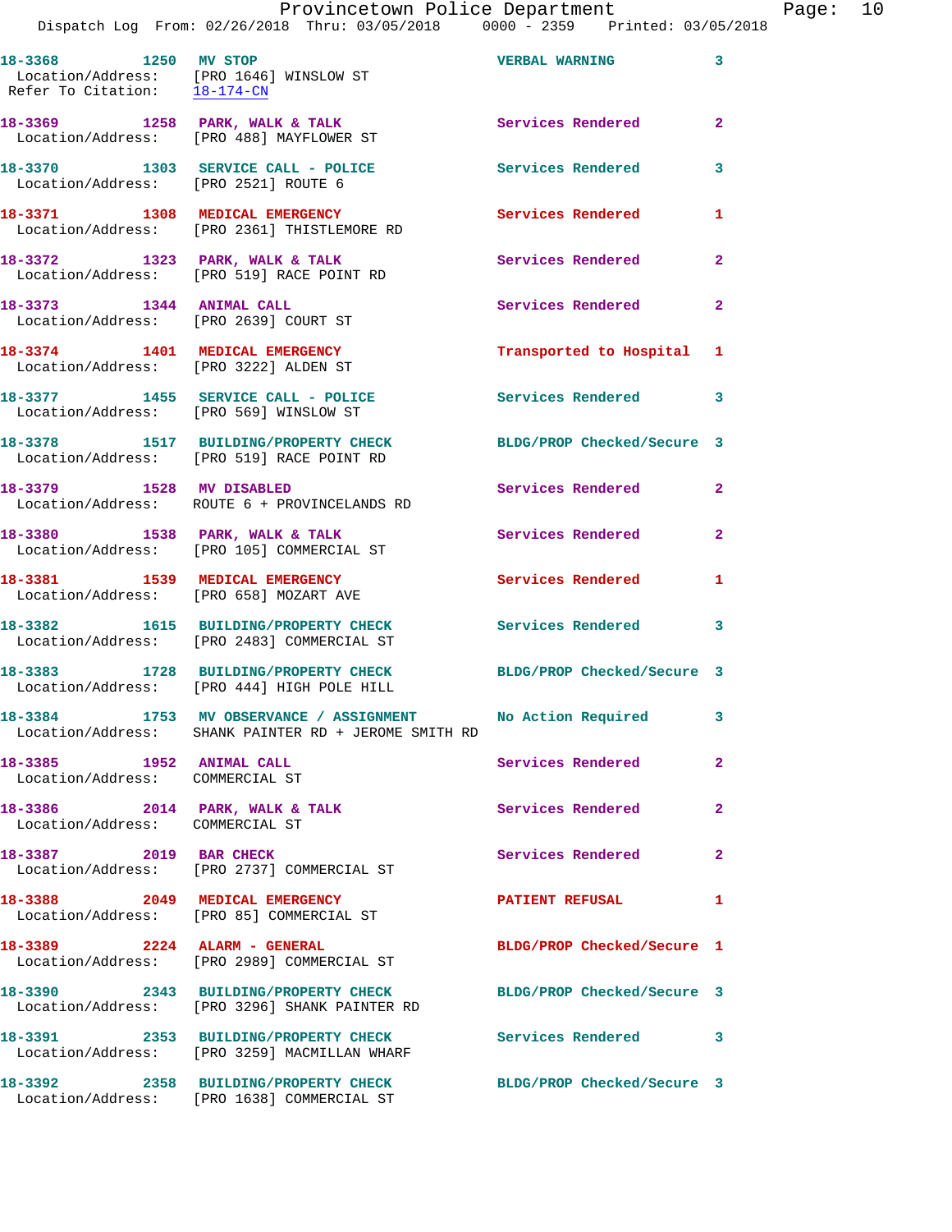Dispatch Log From: 02/26/2018 Thru: 03/05/2018 0000 - 2359 Printed: 03/05/2018

|                          | DISPACCII DOG FIOM. 02/20/2010 INIU. 03/03/2010                                                 | UUUU - 4332<br>PIINCU, VJ/VJ/Z |                |
|--------------------------|-------------------------------------------------------------------------------------------------|--------------------------------|----------------|
| 18-3368 1250 MV STOP     | Location/Address: [PRO 1646] WINSLOW ST<br>Refer To Citation: 18-174-CN                         | <b>VERBAL WARNING</b>          | 3              |
|                          | $18-3369$ 1258 PARK, WALK & TALK<br>Location/Address: [PRO 488] MAYFLOWER ST                    | Services Rendered              | $\mathbf{2}$   |
|                          | 18-3370 1303 SERVICE CALL - POLICE<br>Location/Address: [PRO 2521] ROUTE 6                      | Services Rendered              | 3              |
|                          | 18-3371 1308 MEDICAL EMERGENCY<br>Location/Address: [PRO 2361] THISTLEMORE RD                   | Services Rendered              | 1              |
|                          | 18-3372 1323 PARK, WALK & TALK<br>Location/Address: [PRO 519] RACE POINT RD                     | Services Rendered              | 2              |
|                          | 18-3373 1344 ANIMAL CALL<br>Location/Address: [PRO 2639] COURT ST                               | Services Rendered              | $\overline{a}$ |
|                          | 18-3374 1401 MEDICAL EMERGENCY<br>Location/Address: [PRO 3222] ALDEN ST                         | Transported to Hospital        | 1              |
|                          | 18-3377 1455 SERVICE CALL - POLICE<br>Location/Address: [PRO 569] WINSLOW ST                    | Services Rendered              | 3              |
|                          | 18-3378 1517 BUILDING/PROPERTY CHECK<br>Location/Address: [PRO 519] RACE POINT RD               | BLDG/PROP Checked/Secure 3     |                |
| 18-3379 1528 MV DISABLED | Location/Address: ROUTE 6 + PROVINCELANDS RD                                                    | Services Rendered              | $\overline{a}$ |
|                          | 18-3380 1538 PARK, WALK & TALK<br>Location/Address: [PRO 105] COMMERCIAL ST                     | Services Rendered              | $\mathbf{2}$   |
|                          | 18-3381 1539 MEDICAL EMERGENCY<br>Location/Address: [PRO 658] MOZART AVE                        | Services Rendered              | 1              |
|                          | 18-3382 1615 BUILDING/PROPERTY CHECK<br>Location/Address: [PRO 2483] COMMERCIAL ST              | Services Rendered              | 3              |
|                          | 18-3383 1728 BUILDING/PROPERTY CHECK<br>Location/Address: [PRO 444] HIGH POLE HILL              | BLDG/PROP Checked/Secure 3     |                |
|                          | 18-3384 1753 MV OBSERVANCE / ASSIGNMENT<br>Location/Address: SHANK PAINTER RD + JEROME SMITH RD | No Action Required             | 3              |
|                          | 18-3385 1952 ANIMAL CALL<br>Location/Address: COMMERCIAL ST                                     | Services Rendered              | 2              |
|                          | 18-3386 2014 PARK, WALK & TALK<br>Location/Address: COMMERCIAL ST                               | Services Rendered              | $\mathbf{2}$   |
|                          | 18-3387 2019 BAR CHECK<br>Location/Address: [PRO 2737] COMMERCIAL ST                            | Services Rendered              | $\overline{a}$ |
|                          | 18-3388 2049 MEDICAL EMERGENCY<br>Location/Address: [PRO 85] COMMERCIAL ST                      | <b>PATIENT REFUSAL</b>         | 1              |
|                          | 18-3389 2224 ALARM - GENERAL<br>Location/Address: [PRO 2989] COMMERCIAL ST                      | BLDG/PROP Checked/Secure 1     |                |
|                          | 18-3390 2343 BUILDING/PROPERTY CHECK<br>Location/Address: [PRO 3296] SHANK PAINTER RD           | BLDG/PROP Checked/Secure 3     |                |
|                          | 18-3391 2353 BUILDING/PROPERTY CHECK<br>Location/Address: [PRO 3259] MACMILLAN WHARF            | Services Rendered              | 3              |
|                          | 18-3392 2358 BUILDING/PROPERTY CHECK<br>Location/Address: [PRO 1638] COMMERCIAL ST              | BLDG/PROP Checked/Secure 3     |                |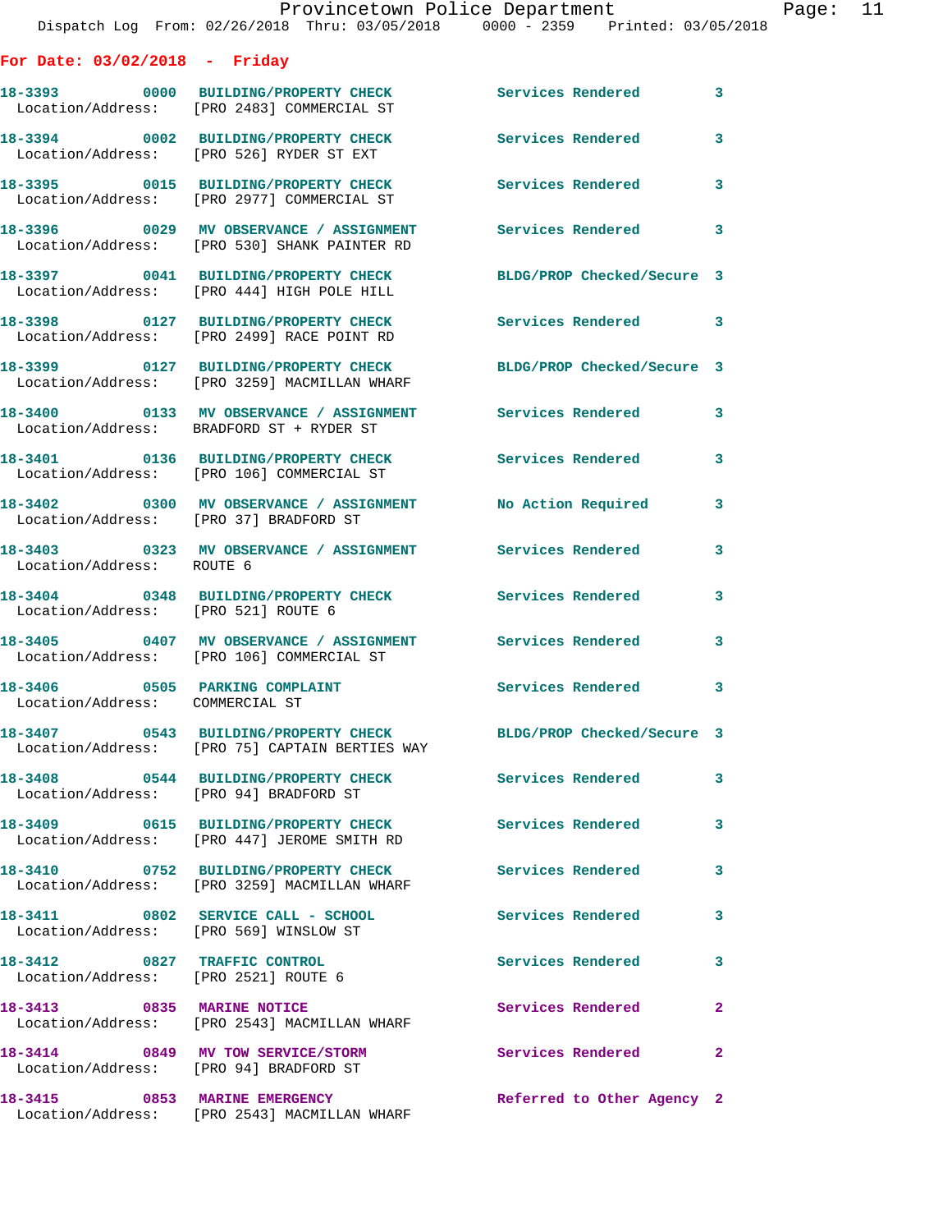| For Date: 03/02/2018 - Friday                                        |                                                                                                          |                            |                         |
|----------------------------------------------------------------------|----------------------------------------------------------------------------------------------------------|----------------------------|-------------------------|
|                                                                      | 18-3393 0000 BUILDING/PROPERTY CHECK<br>Location/Address: [PRO 2483] COMMERCIAL ST                       | <b>Services Rendered</b>   | $\mathbf{3}$            |
|                                                                      | 18-3394 0002 BUILDING/PROPERTY CHECK<br>Location/Address: [PRO 526] RYDER ST EXT                         | <b>Services Rendered</b>   | $\mathbf{3}$            |
|                                                                      | 18-3395 0015 BUILDING/PROPERTY CHECK<br>Location/Address: [PRO 2977] COMMERCIAL ST                       | Services Rendered          | 3                       |
|                                                                      | 18-3396 0029 MV OBSERVANCE / ASSIGNMENT<br>Location/Address: [PRO 530] SHANK PAINTER RD                  | <b>Services Rendered</b>   | 3                       |
|                                                                      | 18-3397 0041 BUILDING/PROPERTY CHECK<br>Location/Address: [PRO 444] HIGH POLE HILL                       | BLDG/PROP Checked/Secure 3 |                         |
|                                                                      | 18-3398 0127 BUILDING/PROPERTY CHECK<br>Location/Address: [PRO 2499] RACE POINT RD                       | <b>Services Rendered</b>   | $\overline{\mathbf{3}}$ |
|                                                                      | 18-3399 0127 BUILDING/PROPERTY CHECK<br>Location/Address: [PRO 3259] MACMILLAN WHARF                     | BLDG/PROP Checked/Secure 3 |                         |
|                                                                      | Location/Address: BRADFORD ST + RYDER ST                                                                 |                            | 3                       |
|                                                                      | 18-3401 0136 BUILDING/PROPERTY CHECK<br>Location/Address: [PRO 106] COMMERCIAL ST                        | Services Rendered          | 3                       |
| Location/Address: [PRO 37] BRADFORD ST                               | 18-3402 0300 MV OBSERVANCE / ASSIGNMENT No Action Required                                               |                            | 3                       |
| Location/Address: ROUTE 6                                            | 18-3403 0323 MV OBSERVANCE / ASSIGNMENT Services Rendered                                                |                            | 3                       |
| Location/Address: [PRO 521] ROUTE 6                                  | 18-3404 0348 BUILDING/PROPERTY CHECK                                                                     | <b>Services Rendered</b>   | 3                       |
|                                                                      | 18-3405  0407 MV OBSERVANCE / ASSIGNMENT  Services Rendered<br>Location/Address: [PRO 106] COMMERCIAL ST |                            | 3                       |
| Location/Address: COMMERCIAL ST                                      | 18-3406 0505 PARKING COMPLAINT                                                                           | <b>Services Rendered</b>   | 3                       |
|                                                                      | 18-3407 0543 BUILDING/PROPERTY CHECK<br>Location/Address: [PRO 75] CAPTAIN BERTIES WAY                   | BLDG/PROP Checked/Secure 3 |                         |
| Location/Address: [PRO 94] BRADFORD ST                               | 18-3408 0544 BUILDING/PROPERTY CHECK Services Rendered                                                   |                            | 3                       |
|                                                                      | 18-3409 0615 BUILDING/PROPERTY CHECK<br>Location/Address: [PRO 447] JEROME SMITH RD                      | Services Rendered          | $\overline{\mathbf{3}}$ |
|                                                                      | 18-3410 0752 BUILDING/PROPERTY CHECK Services Rendered<br>Location/Address: [PRO 3259] MACMILLAN WHARF   |                            | 3                       |
| Location/Address: [PRO 569] WINSLOW ST                               | 18-3411 0802 SERVICE CALL - SCHOOL 5ervices Rendered                                                     |                            | 3                       |
| 18-3412 0827 TRAFFIC CONTROL<br>Location/Address: [PRO 2521] ROUTE 6 |                                                                                                          | Services Rendered          | 3                       |
| 18-3413 0835 MARINE NOTICE                                           | Location/Address: [PRO 2543] MACMILLAN WHARF                                                             | Services Rendered          | $\mathbf{2}$            |
|                                                                      | 18-3414 0849 MV TOW SERVICE/STORM<br>Location/Address: [PRO 94] BRADFORD ST                              | Services Rendered          | $\mathbf{2}$            |
|                                                                      | 18-3415 0853 MARINE EMERGENCY<br>Location/Address: [PRO 2543] MACMILLAN WHARF                            | Referred to Other Agency 2 |                         |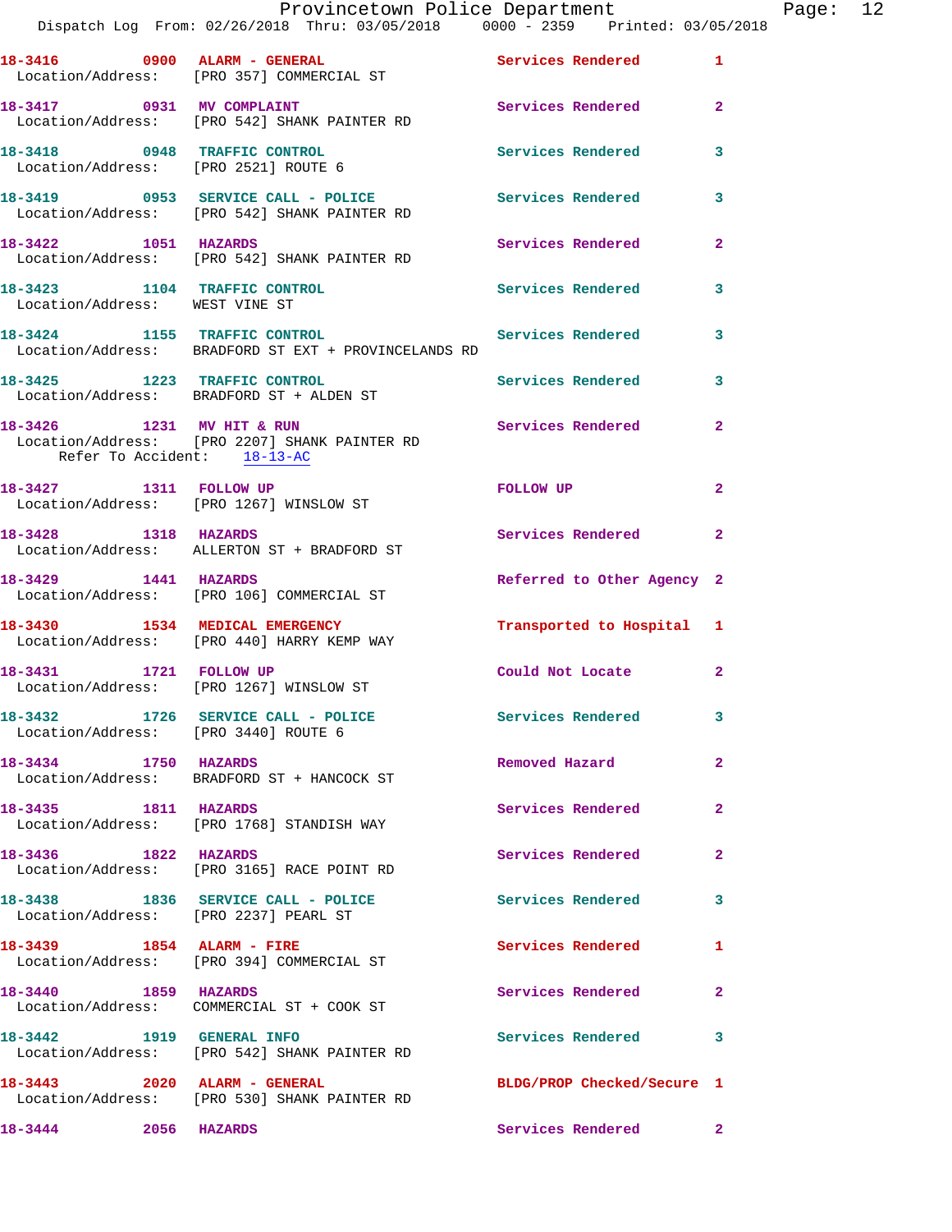|                                                                | Provincetown Police Department                                                                       |                            |                |
|----------------------------------------------------------------|------------------------------------------------------------------------------------------------------|----------------------------|----------------|
|                                                                | Dispatch Log From: 02/26/2018 Thru: 03/05/2018                0000 - 2359    Printed: 03/05/2018     |                            |                |
|                                                                | 18-3416 0900 ALARM - GENERAL<br>Location/Address: [PRO 357] COMMERCIAL ST                            | Services Rendered 1        |                |
|                                                                | 18-3417 0931 MV COMPLAINT<br>Location/Address: [PRO 542] SHANK PAINTER RD                            | Services Rendered          | $\overline{2}$ |
| Location/Address: [PRO 2521] ROUTE 6                           | 18-3418 0948 TRAFFIC CONTROL                                                                         | Services Rendered          | 3              |
|                                                                | 18-3419 0953 SERVICE CALL - POLICE Services Rendered<br>Location/Address: [PRO 542] SHANK PAINTER RD |                            | 3              |
| 18-3422 1051 HAZARDS                                           | Location/Address: [PRO 542] SHANK PAINTER RD                                                         | Services Rendered          | $\mathbf{2}$   |
| 18-3423 1104 TRAFFIC CONTROL<br>Location/Address: WEST VINE ST |                                                                                                      | Services Rendered          | 3              |
|                                                                | 18-3424 1155 TRAFFIC CONTROL<br>Location/Address: BRADFORD ST EXT + PROVINCELANDS RD                 | Services Rendered          | 3              |
|                                                                | 18-3425 1223 TRAFFIC CONTROL<br>Location/Address: BRADFORD ST + ALDEN ST                             | Services Rendered          | 3              |
| Refer To Accident: 18-13-AC                                    | 18-3426 1231 MV HIT & RUN<br>Location/Address: [PRO 2207] SHANK PAINTER RD                           | <b>Services Rendered</b>   | $\overline{2}$ |
|                                                                | 18-3427 1311 FOLLOW UP<br>Location/Address: [PRO 1267] WINSLOW ST                                    | FOLLOW UP                  | $\mathbf{2}$   |
| 18-3428 1318 HAZARDS                                           | Location/Address: ALLERTON ST + BRADFORD ST                                                          | Services Rendered          | $\overline{2}$ |
|                                                                | 18-3429 1441 HAZARDS<br>Location/Address: [PRO 106] COMMERCIAL ST                                    | Referred to Other Agency 2 |                |
|                                                                | 18-3430 1534 MEDICAL EMERGENCY<br>Location/Address: [PRO 440] HARRY KEMP WAY                         | Transported to Hospital 1  |                |
|                                                                | 18-3431 1721 FOLLOW UP<br>Location/Address: [PRO 1267] WINSLOW ST                                    | Could Not Locate           | $\mathbf{2}$   |
| Location/Address: [PRO 3440] ROUTE 6                           | 18-3432 1726 SERVICE CALL - POLICE                                                                   | Services Rendered          | 3              |
| 18-3434 1750 HAZARDS                                           | Location/Address: BRADFORD ST + HANCOCK ST                                                           | Removed Hazard             | $\mathbf{2}$   |
| 18-3435 1811 HAZARDS                                           | Location/Address: [PRO 1768] STANDISH WAY                                                            | <b>Services Rendered</b>   | 2              |
| 18-3436 1822 HAZARDS                                           | Location/Address: [PRO 3165] RACE POINT RD                                                           | Services Rendered          | $\mathbf{2}$   |
| Location/Address: [PRO 2237] PEARL ST                          | 18-3438 1836 SERVICE CALL - POLICE                                                                   | Services Rendered          | 3              |
|                                                                | 18-3439 1854 ALARM - FIRE<br>Location/Address: [PRO 394] COMMERCIAL ST                               | <b>Services Rendered</b>   | 1              |
| 1859 HAZARDS<br>18-3440                                        | Location/Address: COMMERCIAL ST + COOK ST                                                            | Services Rendered          | $\mathbf{2}$   |
| 18-3442 1919 GENERAL INFO                                      | Location/Address: [PRO 542] SHANK PAINTER RD                                                         | <b>Services Rendered</b>   | 3              |
| 18-3443 2020 ALARM - GENERAL                                   | Location/Address: [PRO 530] SHANK PAINTER RD                                                         | BLDG/PROP Checked/Secure 1 |                |
| 18-3444 2056 HAZARDS                                           |                                                                                                      | Services Rendered          | $\mathbf{2}$   |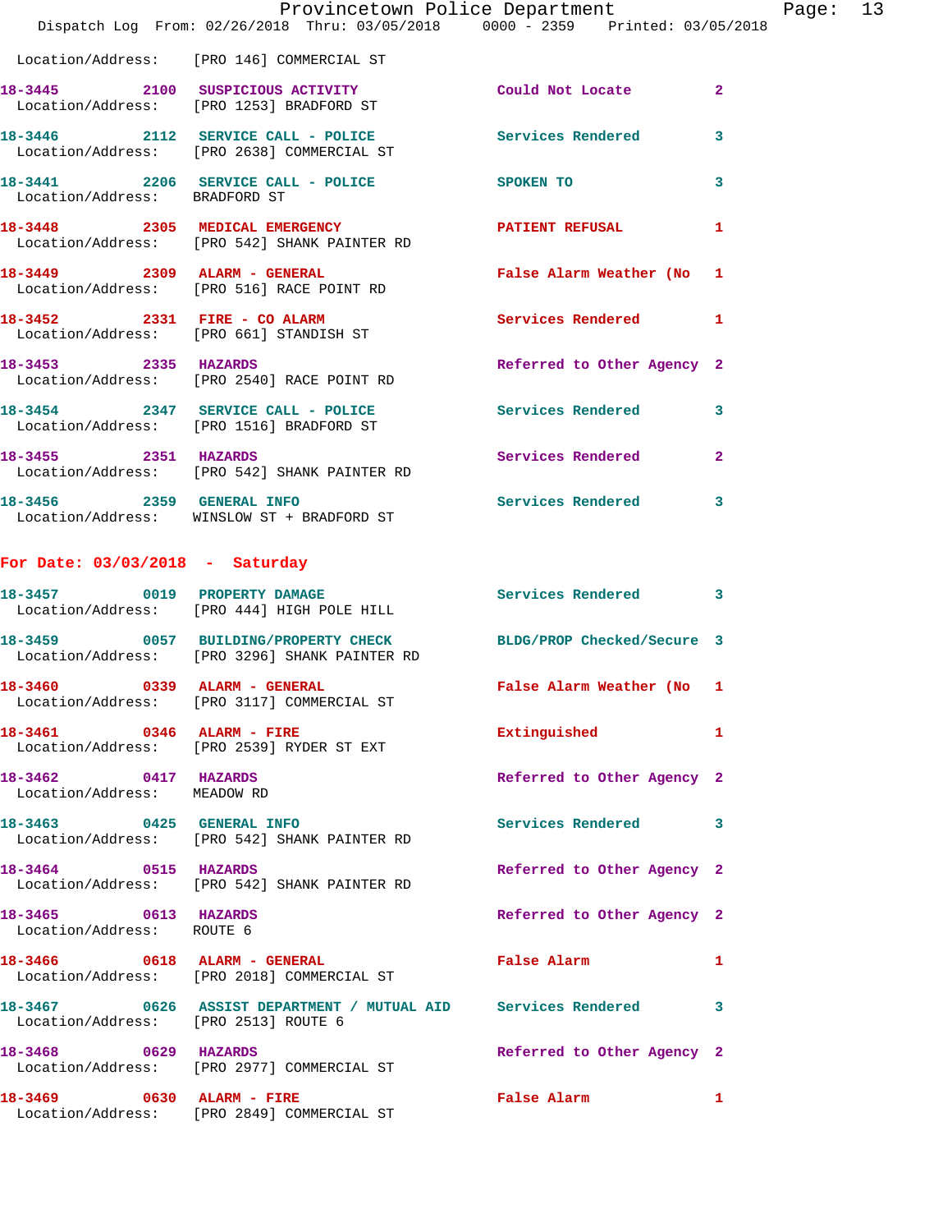|                                                     | Provincetown Police Department<br>Dispatch Log From: 02/26/2018 Thru: 03/05/2018 0000 - 2359 Printed: 03/05/2018 |                            | Page: 13     |
|-----------------------------------------------------|------------------------------------------------------------------------------------------------------------------|----------------------------|--------------|
|                                                     | Location/Address: [PRO 146] COMMERCIAL ST                                                                        |                            |              |
|                                                     | 18-3445 2100 SUSPICIOUS ACTIVITY<br>Location/Address: [PRO 1253] BRADFORD ST                                     | Could Not Locate 2         |              |
|                                                     | 18-3446 2112 SERVICE CALL - POLICE Services Rendered 3<br>Location/Address: [PRO 2638] COMMERCIAL ST             |                            |              |
| Location/Address: BRADFORD ST                       | 18-3441 2206 SERVICE CALL - POLICE SPOKEN TO                                                                     |                            | 3            |
|                                                     | 18-3448 2305 MEDICAL EMERGENCY PATIENT REFUSAL<br>Location/Address: [PRO 542] SHANK PAINTER RD                   |                            | 1            |
|                                                     | 18-3449 2309 ALARM - GENERAL<br>Location/Address: [PRO 516] RACE POINT RD                                        | False Alarm Weather (No 1  |              |
|                                                     | 18-3452 2331 FIRE - CO ALARM<br>Location/Address: [PRO 661] STANDISH ST                                          | Services Rendered 1        |              |
|                                                     | 18-3453 2335 HAZARDS<br>Location/Address: [PRO 2540] RACE POINT RD                                               | Referred to Other Agency 2 |              |
|                                                     | 18-3454 2347 SERVICE CALL - POLICE<br>Location/Address: [PRO 1516] BRADFORD ST                                   | Services Rendered 3        |              |
|                                                     | 18-3455 2351 HAZARDS<br>Location/Address: [PRO 542] SHANK PAINTER RD                                             | Services Rendered 2        |              |
|                                                     | 18-3456 2359 GENERAL INFO<br>Location/Address: WINSLOW ST + BRADFORD ST                                          | Services Rendered          | 3            |
| For Date: $03/03/2018$ - Saturday                   |                                                                                                                  |                            |              |
|                                                     | 18-3457 0019 PROPERTY DAMAGE<br>Location/Address: [PRO 444] HIGH POLE HILL                                       | Services Rendered 3        |              |
|                                                     | 18-3459 0057 BUILDING/PROPERTY CHECK BLDG/PROP Checked/Secure 3<br>Location/Address: [PRO 3296] SHANK PAINTER RD |                            |              |
| 18-3460 0339 ALARM - GENERAL                        | Location/Address: [PRO 3117] COMMERCIAL ST                                                                       | False Alarm Weather (No 1  |              |
|                                                     | 18-3461 0346 ALARM - FIRE<br>Location/Address: [PRO 2539] RYDER ST EXT                                           | Extinguished               | $\mathbf{1}$ |
| 18-3462 0417 HAZARDS<br>Location/Address: MEADOW RD |                                                                                                                  | Referred to Other Agency 2 |              |
|                                                     | 18-3463 0425 GENERAL INFO<br>Location/Address: [PRO 542] SHANK PAINTER RD                                        | Services Rendered 3        |              |
| 18-3464 0515 HAZARDS                                | Location/Address: [PRO 542] SHANK PAINTER RD                                                                     | Referred to Other Agency 2 |              |
| 18-3465 0613 HAZARDS<br>Location/Address: ROUTE 6   |                                                                                                                  | Referred to Other Agency 2 |              |
|                                                     | 18-3466 0618 ALARM - GENERAL<br>Location/Address: [PRO 2018] COMMERCIAL ST                                       | <b>False Alarm</b>         | 1            |
| Location/Address: [PRO 2513] ROUTE 6                | 18-3467 0626 ASSIST DEPARTMENT / MUTUAL AID Services Rendered 3                                                  |                            |              |
| 18-3468 0629 HAZARDS                                | Location/Address: [PRO 2977] COMMERCIAL ST                                                                       | Referred to Other Agency 2 |              |
| 18-3469 0630 ALARM - FIRE                           | Location/Address: [PRO 2849] COMMERCIAL ST                                                                       | False Alarm 1              |              |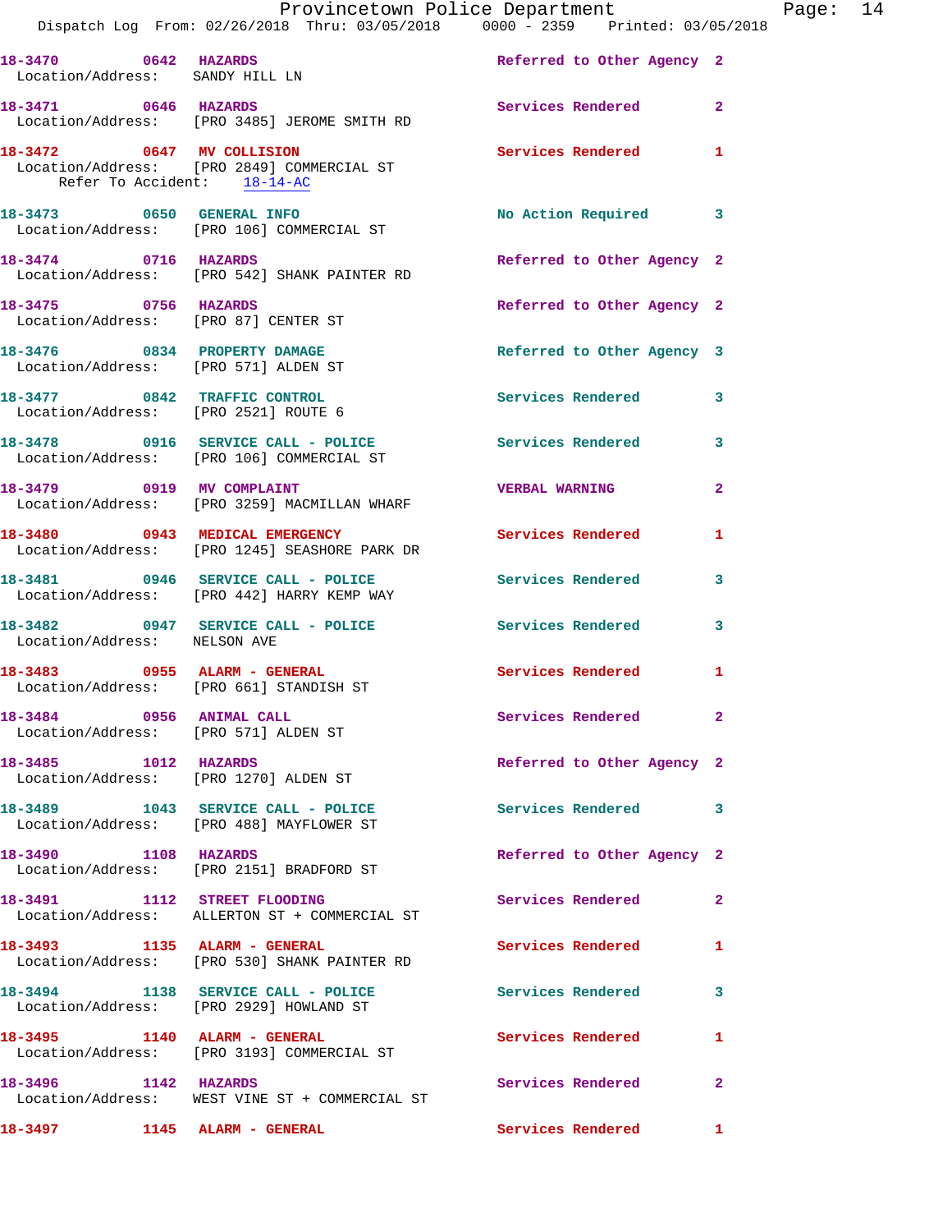|                                                                  |                                                                                                    | Provincetown Police Department Page: 14<br>Dispatch Log From: 02/26/2018 Thru: 03/05/2018 0000 - 2359 Printed: 03/05/2018 |  |
|------------------------------------------------------------------|----------------------------------------------------------------------------------------------------|---------------------------------------------------------------------------------------------------------------------------|--|
| Location/Address: SANDY HILL LN                                  |                                                                                                    | 18-3470 0642 HAZARDS Referred to Other Agency 2                                                                           |  |
| 18-3471 0646 HAZARDS                                             | Location/Address: [PRO 3485] JEROME SMITH RD                                                       | Services Rendered<br>$\mathbf{2}$                                                                                         |  |
| Refer To Accident: 18-14-AC                                      | 18-3472 0647 MV COLLISION<br>Location/Address: [PRO 2849] COMMERCIAL ST                            | Services Rendered<br>$\mathbf{1}$                                                                                         |  |
|                                                                  | 18-3473 0650 GENERAL INFO<br>Location/Address: [PRO 106] COMMERCIAL ST                             | No Action Required 3                                                                                                      |  |
|                                                                  | 18-3474 0716 HAZARDS<br>Location/Address: [PRO 542] SHANK PAINTER RD                               | Referred to Other Agency 2                                                                                                |  |
| 18-3475 0756 HAZARDS                                             | Location/Address: [PRO 87] CENTER ST                                                               | Referred to Other Agency 2                                                                                                |  |
|                                                                  | 18-3476 0834 PROPERTY DAMAGE<br>Location/Address: [PRO 571] ALDEN ST                               | Referred to Other Agency 3                                                                                                |  |
| Location/Address: [PRO 2521] ROUTE 6                             | 18-3477 0842 TRAFFIC CONTROL                                                                       | <b>Services Rendered</b><br>3                                                                                             |  |
|                                                                  | Location/Address: [PRO 106] COMMERCIAL ST                                                          | 18-3478 0916 SERVICE CALL - POLICE Services Rendered 3                                                                    |  |
|                                                                  | 18-3479 0919 MV COMPLAINT<br>Location/Address: [PRO 3259] MACMILLAN WHARF                          | <b>VERBAL WARNING</b><br>$\mathbf{2}$                                                                                     |  |
|                                                                  | 18-3480 0943 MEDICAL EMERGENCY<br>Location/Address: [PRO 1245] SEASHORE PARK DR                    | Services Rendered<br>1                                                                                                    |  |
|                                                                  | 18-3481 0946 SERVICE CALL - POLICE<br>Location/Address: [PRO 442] HARRY KEMP WAY                   | <b>Services Rendered</b><br>3                                                                                             |  |
| Location/Address: NELSON AVE                                     | 18-3482 0947 SERVICE CALL - POLICE Services Rendered                                               | 3                                                                                                                         |  |
|                                                                  | 18-3483 0955 ALARM - GENERAL<br>Location/Address: [PRO 661] STANDISH ST                            | Services Rendered<br>$\mathbf{1}$                                                                                         |  |
| 18-3484 0956 ANIMAL CALL<br>Location/Address: [PRO 571] ALDEN ST |                                                                                                    | Services Rendered 2                                                                                                       |  |
| Location/Address: [PRO 1270] ALDEN ST                            | 18-3485 1012 HAZARDS                                                                               | Referred to Other Agency 2                                                                                                |  |
|                                                                  | Location/Address: [PRO 488] MAYFLOWER ST                                                           | 18-3489 1043 SERVICE CALL - POLICE 3 Services Rendered 3                                                                  |  |
|                                                                  | 18-3490 1108 HAZARDS<br>Location/Address: [PRO 2151] BRADFORD ST                                   | Referred to Other Agency 2                                                                                                |  |
| 18-3491 1112 STREET FLOODING                                     | Location/Address: ALLERTON ST + COMMERCIAL ST                                                      | Services Rendered<br>$\mathbf{2}$                                                                                         |  |
|                                                                  | 18-3493 1135 ALARM - GENERAL<br>Location/Address: [PRO 530] SHANK PAINTER RD                       | <b>Services Rendered</b><br>1                                                                                             |  |
|                                                                  | 18-3494 1138 SERVICE CALL - POLICE 30 Services Rendered<br>Location/Address: [PRO 2929] HOWLAND ST | 3                                                                                                                         |  |
|                                                                  | 18-3495 1140 ALARM - GENERAL<br>Location/Address: [PRO 3193] COMMERCIAL ST                         | Services Rendered 1                                                                                                       |  |
| 18-3496 1142 HAZARDS                                             | Location/Address: WEST VINE ST + COMMERCIAL ST                                                     | Services Rendered<br>2                                                                                                    |  |
|                                                                  |                                                                                                    | Services Rendered 1                                                                                                       |  |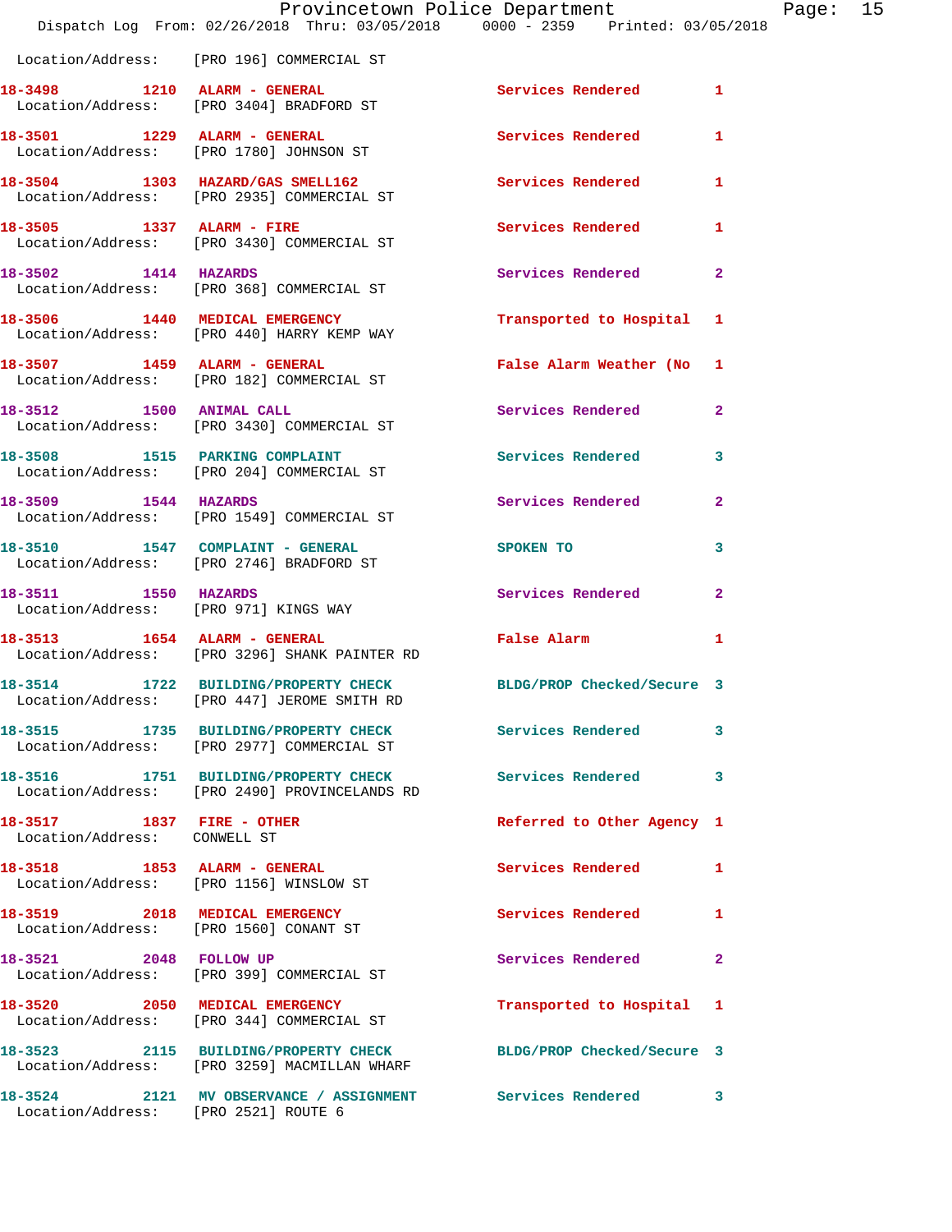|                                                           | Provincetown Police Department<br>Dispatch Log From: 02/26/2018 Thru: 03/05/2018 0000 - 2359 Printed: 03/05/2018 |                            |              |
|-----------------------------------------------------------|------------------------------------------------------------------------------------------------------------------|----------------------------|--------------|
|                                                           | Location/Address: [PRO 196] COMMERCIAL ST                                                                        |                            |              |
|                                                           | 18-3498 1210 ALARM - GENERAL<br>Location/Address: [PRO 3404] BRADFORD ST                                         | <b>Services Rendered</b>   | 1            |
|                                                           | 18-3501 1229 ALARM - GENERAL<br>Location/Address: [PRO 1780] JOHNSON ST                                          | <b>Services Rendered</b>   | 1            |
|                                                           | 18-3504 1303 HAZARD/GAS SMELL162<br>Location/Address: [PRO 2935] COMMERCIAL ST                                   | <b>Services Rendered</b>   | 1            |
| 18-3505 1337 ALARM - FIRE                                 | Location/Address: [PRO 3430] COMMERCIAL ST                                                                       | <b>Services Rendered</b>   | 1            |
| 18-3502 1414 HAZARDS                                      | Location/Address: [PRO 368] COMMERCIAL ST                                                                        | Services Rendered          | $\mathbf{2}$ |
|                                                           | 18-3506 1440 MEDICAL EMERGENCY<br>Location/Address: [PRO 440] HARRY KEMP WAY                                     | Transported to Hospital    | 1            |
|                                                           | 18-3507 1459 ALARM - GENERAL<br>Location/Address: [PRO 182] COMMERCIAL ST                                        | False Alarm Weather (No    | 1            |
| 18-3512 1500 ANIMAL CALL                                  | Location/Address: [PRO 3430] COMMERCIAL ST                                                                       | Services Rendered          | $\mathbf{2}$ |
|                                                           | 18-3508 1515 PARKING COMPLAINT<br>Location/Address: [PRO 204] COMMERCIAL ST                                      | <b>Services Rendered</b>   | 3            |
| 18-3509 1544 HAZARDS                                      | Location/Address: [PRO 1549] COMMERCIAL ST                                                                       | Services Rendered          | $\mathbf{2}$ |
|                                                           | 18-3510 1547 COMPLAINT - GENERAL<br>Location/Address: [PRO 2746] BRADFORD ST                                     | SPOKEN TO                  | 3            |
| 18-3511 1550 HAZARDS                                      | Location/Address: [PRO 971] KINGS WAY                                                                            | Services Rendered          | $\mathbf{2}$ |
| 18-3513 1654 ALARM - GENERAL                              | Location/Address: [PRO 3296] SHANK PAINTER RD                                                                    | <b>False Alarm</b>         | 1            |
|                                                           | 18-3514 1722 BUILDING/PROPERTY CHECK<br>Location/Address: [PRO 447] JEROME SMITH RD                              | BLDG/PROP Checked/Secure 3 |              |
|                                                           | 18-3515 1735 BUILDING/PROPERTY CHECK Services Rendered<br>Location/Address: [PRO 2977] COMMERCIAL ST             |                            | 3            |
|                                                           | 18-3516 1751 BUILDING/PROPERTY CHECK Services Rendered<br>Location/Address: [PRO 2490] PROVINCELANDS RD          |                            | 3            |
| 18-3517 1837 FIRE - OTHER<br>Location/Address: CONWELL ST |                                                                                                                  | Referred to Other Agency 1 |              |
|                                                           | 18-3518 1853 ALARM - GENERAL<br>Location/Address: [PRO 1156] WINSLOW ST                                          | Services Rendered          | 1            |
|                                                           | 18-3519 2018 MEDICAL EMERGENCY<br>Location/Address: [PRO 1560] CONANT ST                                         | <b>Services Rendered</b>   | 1            |
| 18-3521 2048 FOLLOW UP                                    | Location/Address: [PRO 399] COMMERCIAL ST                                                                        | Services Rendered          | 2            |
|                                                           | 18-3520 2050 MEDICAL EMERGENCY<br>Location/Address: [PRO 344] COMMERCIAL ST                                      | Transported to Hospital    | 1            |
|                                                           | 18-3523 2115 BUILDING/PROPERTY CHECK<br>Location/Address: [PRO 3259] MACMILLAN WHARF                             | BLDG/PROP Checked/Secure 3 |              |
|                                                           | 18-3524 2121 MV OBSERVANCE / ASSIGNMENT Services Rendered<br>Location/Address: [PRO 2521] ROUTE 6                |                            | 3            |

Page: 15<br>18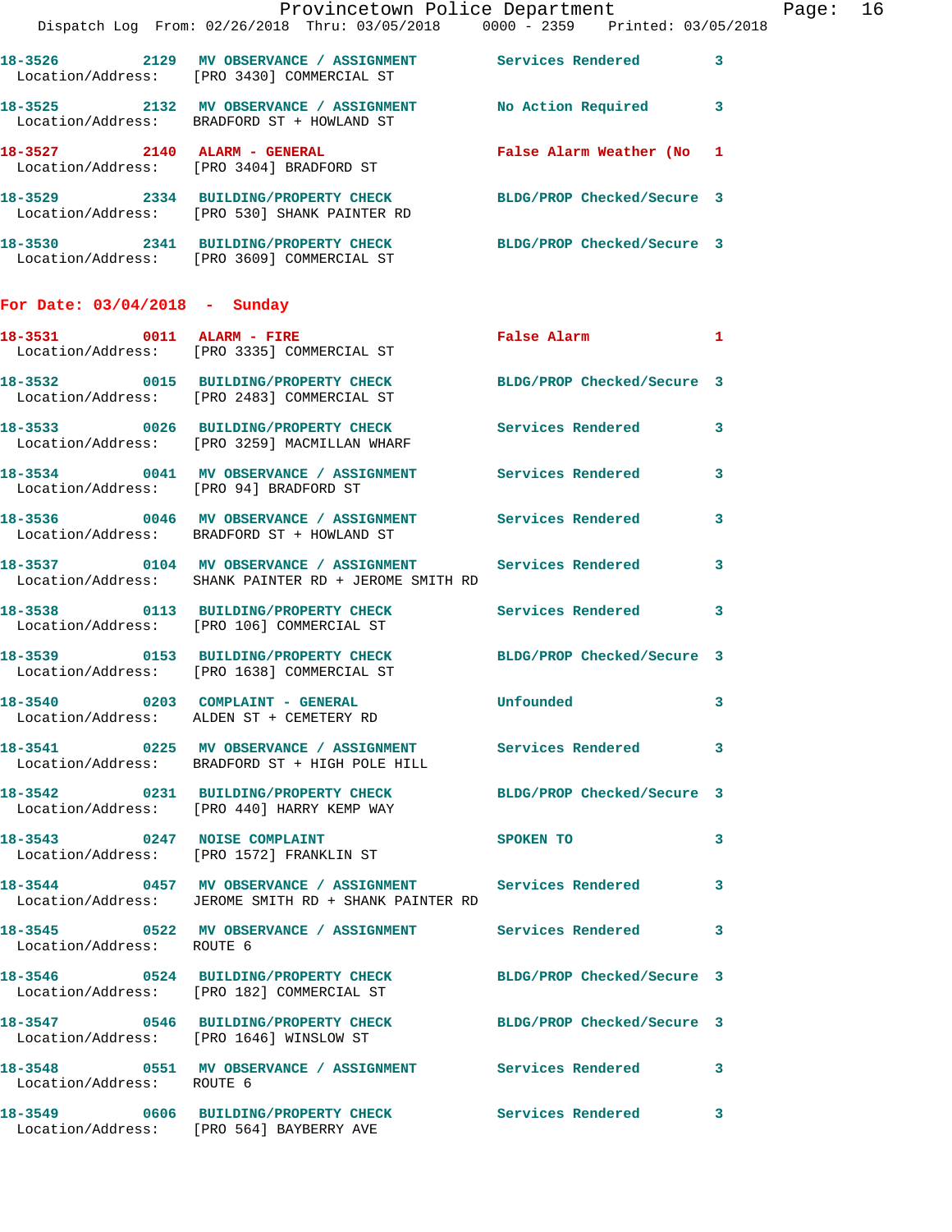|                                 | Dispatch Log From: 02/26/2018 Thru: 03/05/2018 0000 - 2359 Printed: 03/05/2018                                      | Provincetown Police Department |   | Page: 16 |  |
|---------------------------------|---------------------------------------------------------------------------------------------------------------------|--------------------------------|---|----------|--|
|                                 | 18-3526 2129 MV OBSERVANCE / ASSIGNMENT Services Rendered 3<br>Location/Address: [PRO 3430] COMMERCIAL ST           |                                |   |          |  |
|                                 | 18-3525 2132 MV OBSERVANCE / ASSIGNMENT No Action Required 3<br>Location/Address: BRADFORD ST + HOWLAND ST          |                                |   |          |  |
|                                 | 18-3527 2140 ALARM - GENERAL<br>Location/Address: [PRO 3404] BRADFORD ST                                            | False Alarm Weather (No 1      |   |          |  |
|                                 | 18-3529 2334 BUILDING/PROPERTY CHECK BLDG/PROP Checked/Secure 3<br>Location/Address: [PRO 530] SHANK PAINTER RD     |                                |   |          |  |
|                                 | 18-3530 2341 BUILDING/PROPERTY CHECK BLDG/PROP Checked/Secure 3<br>Location/Address: [PRO 3609] COMMERCIAL ST       |                                |   |          |  |
| For Date: $03/04/2018$ - Sunday |                                                                                                                     |                                |   |          |  |
|                                 | 18-3531 0011 ALARM - FIRE<br>Location/Address: [PRO 3335] COMMERCIAL ST                                             | False Alarm 1                  |   |          |  |
|                                 | 18-3532 0015 BUILDING/PROPERTY CHECK BLDG/PROP Checked/Secure 3<br>Location/Address: [PRO 2483] COMMERCIAL ST       |                                |   |          |  |
|                                 | 18-3533 0026 BUILDING/PROPERTY CHECK Services Rendered 3<br>Location/Address: [PRO 3259] MACMILLAN WHARF            |                                |   |          |  |
|                                 | 18-3534 0041 MV OBSERVANCE / ASSIGNMENT Services Rendered<br>Location/Address: [PRO 94] BRADFORD ST                 |                                | 3 |          |  |
|                                 | 18-3536 0046 MV OBSERVANCE / ASSIGNMENT Services Rendered 3<br>Location/Address: BRADFORD ST + HOWLAND ST           |                                |   |          |  |
|                                 | 18-3537 0104 MV OBSERVANCE / ASSIGNMENT Services Rendered<br>Location/Address: SHANK PAINTER RD + JEROME SMITH RD   |                                | 3 |          |  |
|                                 | 18-3538 0113 BUILDING/PROPERTY CHECK Services Rendered 3<br>Location/Address: [PRO 106] COMMERCIAL ST               |                                |   |          |  |
|                                 | 18-3539 0153 BUILDING/PROPERTY CHECK BLDG/PROP Checked/Secure 3<br>Location/Address: [PRO 1638] COMMERCIAL ST       |                                |   |          |  |
|                                 | 18-3540 0203 COMPLAINT - GENERAL<br>Location/Address: ALDEN ST + CEMETERY RD                                        | Unfounded                      |   |          |  |
|                                 | 18-3541 0225 MV OBSERVANCE / ASSIGNMENT Services Rendered 3<br>Location/Address: BRADFORD ST + HIGH POLE HILL       |                                |   |          |  |
|                                 | 18-3542 0231 BUILDING/PROPERTY CHECK BLDG/PROP Checked/Secure 3<br>Location/Address: [PRO 440] HARRY KEMP WAY       |                                |   |          |  |
|                                 | 18-3543 0247 NOISE COMPLAINT<br>Location/Address: [PRO 1572] FRANKLIN ST                                            | <b>SPOKEN TO</b>               | 3 |          |  |
|                                 | 18-3544 0457 MV OBSERVANCE / ASSIGNMENT Services Rendered 3<br>Location/Address: JEROME SMITH RD + SHANK PAINTER RD |                                |   |          |  |
| Location/Address: ROUTE 6       | 18-3545 0522 MV OBSERVANCE / ASSIGNMENT Services Rendered 3                                                         |                                |   |          |  |
|                                 | 18-3546 0524 BUILDING/PROPERTY CHECK BLDG/PROP Checked/Secure 3<br>Location/Address: [PRO 182] COMMERCIAL ST        |                                |   |          |  |
|                                 | 18-3547 0546 BUILDING/PROPERTY CHECK BLDG/PROP Checked/Secure 3<br>Location/Address: [PRO 1646] WINSLOW ST          |                                |   |          |  |
| Location/Address: ROUTE 6       | 18-3548 0551 MV OBSERVANCE / ASSIGNMENT Services Rendered 3                                                         |                                |   |          |  |
|                                 | 18-3549 0606 BUILDING/PROPERTY CHECK Services Rendered 3<br>Location/Address: [PRO 564] BAYBERRY AVE                |                                |   |          |  |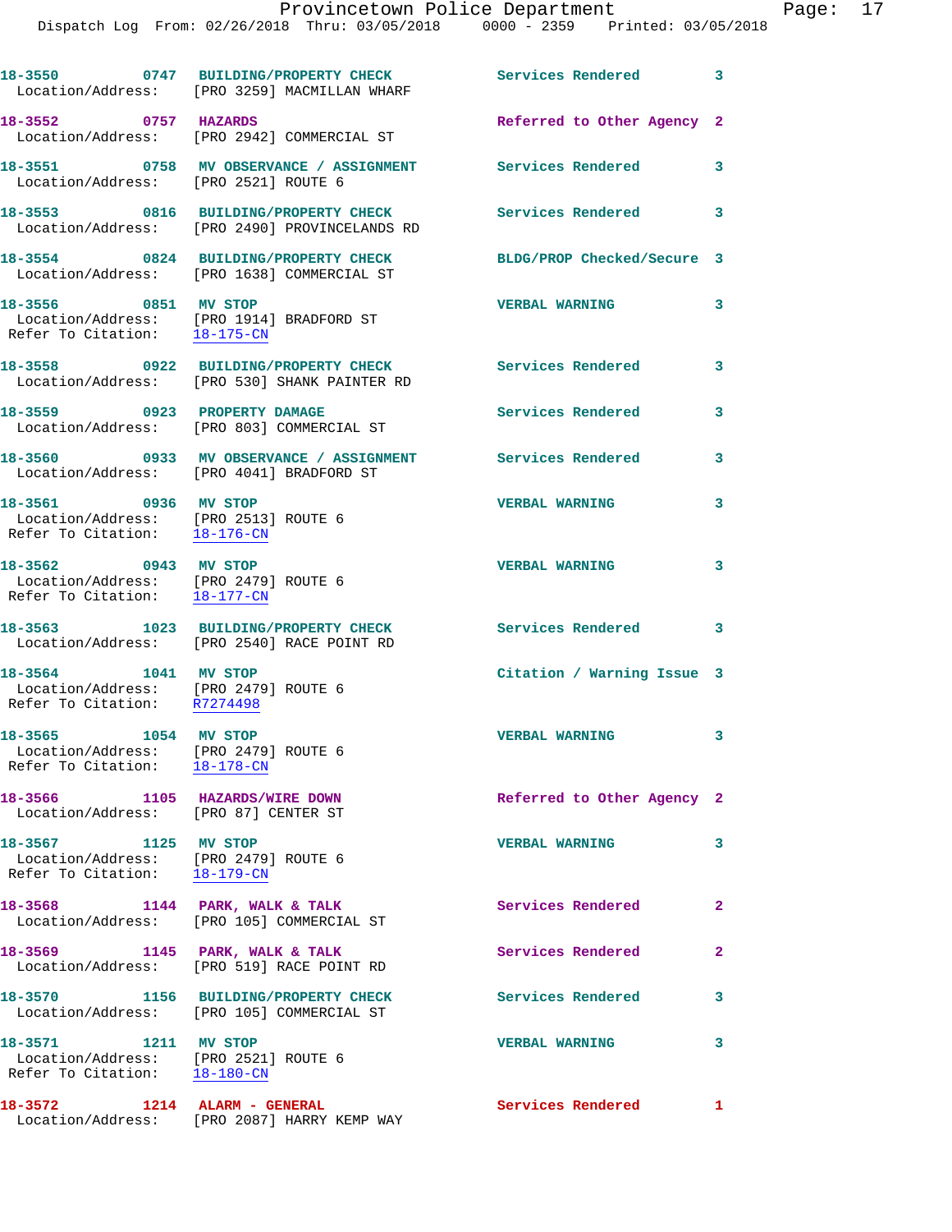|                                      | 18-3550 0747 BUILDING/PROPERTY CHECK<br>Location/Address: [PRO 3259] MACMILLAN WHARF | Services Rendered          | 3 |
|--------------------------------------|--------------------------------------------------------------------------------------|----------------------------|---|
| 18-3552<br>0757                      | <b>HAZARDS</b><br>Location/Address: [PRO 2942] COMMERCIAL ST                         | Referred to Other Agency 2 |   |
| Location/Address: [PRO 2521] ROUTE 6 |                                                                                      | Services Rendered          | 3 |
| 18-3553 0816                         | BUILDING/PROPERTY CHECK<br>Location/Address: [PRO 2490] PROVINCELANDS RD             | Services Rendered          | 3 |
| 18-3554 0824                         | <b>BUILDING/PROPERTY CHECK</b><br>Location/Address: [PRO 1638] COMMERCIAL ST         | BLDG/PROP Checked/Secure 3 |   |
|                                      |                                                                                      |                            |   |

 Location/Address: [PRO 1914] BRADFORD ST Refer To Citation: 18-175-CN

Location/Address: [PRO 530] SHANK PAINTER RD

18-3559 0923 PROPERTY DAMAGE Services Rendered 3

**18-3560 0933 MV OBSERVANCE / ASSIGNMENT Services Rendered 3**  Location/Address: [PRO 4041] BRADFORD ST

**18-3561 0936 MV STOP VERBAL WARNING 3**  Location/Address: [PRO 2513] ROUTE 6 Refer To Citation: 18-176-CN

 Location/Address: [PRO 2479] ROUTE 6 Refer To Citation: 18-177-CN

Location/Address: [PRO 2540] RACE POINT RD

 Location/Address: [PRO 2479] ROUTE 6 Refer To Citation: R7274498

 Location/Address: [PRO 2479] ROUTE 6 Refer To Citation: 18-178-CN

Location/Address: [PRO 87] CENTER ST

 Location/Address: [PRO 2479] ROUTE 6 Refer To Citation: 18-179-CN

Location/Address: [PRO 105] COMMERCIAL ST

Location/Address: [PRO 519] RACE POINT RD

Location/Address: [PRO 105] COMMERCIAL ST

 Location/Address: [PRO 2521] ROUTE 6 Refer To Citation: 18-180-CN

Location/Address: [PRO 2087] HARRY KEMP WAY

**18-3556 0851 MV STOP VERBAL WARNING 3** 

**18-3558 0922 BUILDING/PROPERTY CHECK Services Rendered 3** 

Location/Address: [PRO 803] COMMERCIAL ST

**18-3562 0943 MV STOP VERBAL WARNING 3** 

**18-3563 1023 BUILDING/PROPERTY CHECK Services Rendered 3** 

**18-3564 1041 MV STOP Citation / Warning Issue 3** 

**18-3565 1054 MV STOP VERBAL WARNING 3** 

**18-3566 1105 HAZARDS/WIRE DOWN Referred to Other Agency 2** 

**18-3567 1125 MV STOP VERBAL WARNING 3** 

18-3568 1144 PARK, WALK & TALK **Services Rendered** 2

18-3569 1145 PARK, WALK & TALK **Services Rendered** 2 **18-3570 1156 BUILDING/PROPERTY CHECK Services Rendered 3** 

**18-3571 1211 MV STOP VERBAL WARNING 3** 

**18-3572 1214 ALARM - GENERAL Services Rendered 1**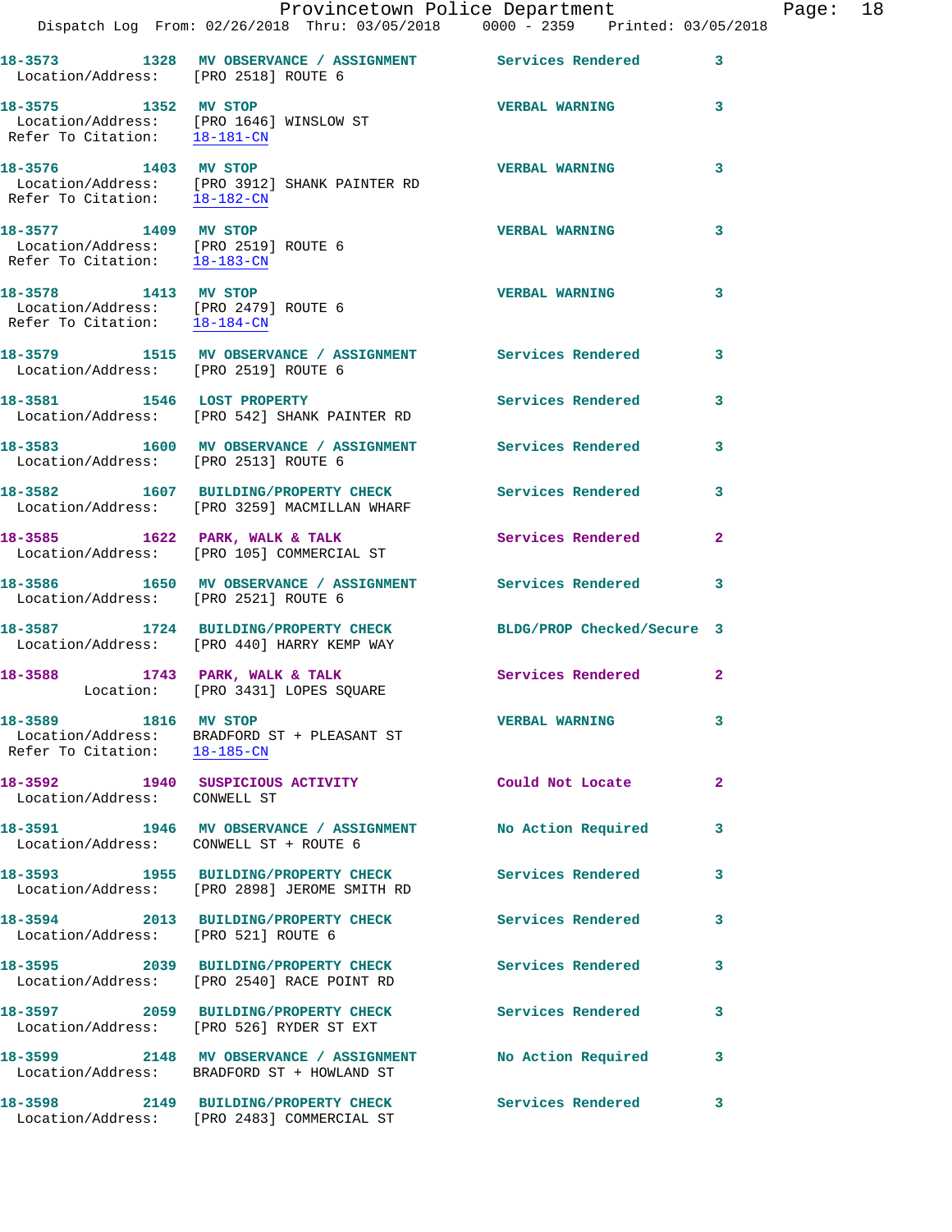|                                                                                                                  | Dispatch Log From: 02/26/2018 Thru: 03/05/2018 0000 - 2359 Printed: 03/05/2018                                | Provincetown Police Department |              | Page: 18 |  |
|------------------------------------------------------------------------------------------------------------------|---------------------------------------------------------------------------------------------------------------|--------------------------------|--------------|----------|--|
| Location/Address: [PRO 2518] ROUTE 6                                                                             | 18-3573 1328 MV OBSERVANCE / ASSIGNMENT Services Rendered                                                     |                                | $\mathbf{3}$ |          |  |
| 18-3575 1352 MV STOP                                                                                             | Location/Address: [PRO 1646] WINSLOW ST<br>Refer To Citation: 18-181-CN                                       | <b>VERBAL WARNING 3</b>        |              |          |  |
| 18-3576 1403 MV STOP<br>Refer To Citation: 18-182-CN                                                             | Location/Address: [PRO 3912] SHANK PAINTER RD                                                                 | <b>VERBAL WARNING</b>          | 3            |          |  |
| 18-3577 1409 MV STOP<br>Location/Address: [PRO 2519] ROUTE 6<br>Refer To Citation: $\frac{18-183-CN}{18-183-CN}$ |                                                                                                               | <b>VERBAL WARNING</b>          | 3            |          |  |
| 18-3578 1413 MV STOP<br>Location/Address: [PRO 2479] ROUTE 6<br>Refer To Citation: $\frac{18-184-CN}{\sqrt{16}}$ |                                                                                                               | <b>VERBAL WARNING</b>          | 3            |          |  |
| Location/Address: [PRO 2519] ROUTE 6                                                                             | 18-3579 1515 MV OBSERVANCE / ASSIGNMENT Services Rendered                                                     |                                | 3            |          |  |
|                                                                                                                  | 18-3581 1546 LOST PROPERTY<br>Location/Address: [PRO 542] SHANK PAINTER RD                                    | Services Rendered              | 3            |          |  |
| Location/Address: [PRO 2513] ROUTE 6                                                                             | 18-3583 1600 MV OBSERVANCE / ASSIGNMENT Services Rendered 3                                                   |                                |              |          |  |
|                                                                                                                  | 18-3582 1607 BUILDING/PROPERTY CHECK Services Rendered<br>Location/Address: [PRO 3259] MACMILLAN WHARF        |                                | 3            |          |  |
|                                                                                                                  | 18-3585 1622 PARK, WALK & TALK 1999 Services Rendered 2<br>Location/Address: [PRO 105] COMMERCIAL ST          |                                |              |          |  |
| Location/Address: [PRO 2521] ROUTE 6                                                                             | 18-3586 1650 MV OBSERVANCE / ASSIGNMENT Services Rendered                                                     |                                | 3            |          |  |
|                                                                                                                  | 18-3587 1724 BUILDING/PROPERTY CHECK BLDG/PROP Checked/Secure 3<br>Location/Address: [PRO 440] HARRY KEMP WAY |                                |              |          |  |
|                                                                                                                  | 18-3588 1743 PARK, WALK & TALK 1999 Services Rendered<br>Location: [PRO 3431] LOPES SQUARE                    |                                | $\mathbf{2}$ |          |  |
| 18-3589 1816 MV STOP<br>Refer To Citation: 18-185-CN                                                             | Location/Address: BRADFORD ST + PLEASANT ST                                                                   | <b>VERBAL WARNING</b>          | 3            |          |  |
| Location/Address: CONWELL ST                                                                                     | 18-3592 1940 SUSPICIOUS ACTIVITY                                                                              | Could Not Locate               | $\mathbf{2}$ |          |  |
| Location/Address: CONWELL ST + ROUTE 6                                                                           | 18-3591 1946 MV OBSERVANCE / ASSIGNMENT No Action Required                                                    |                                | 3            |          |  |
|                                                                                                                  | 18-3593 1955 BUILDING/PROPERTY CHECK<br>Location/Address: [PRO 2898] JEROME SMITH RD                          | <b>Services Rendered</b>       | 3            |          |  |
| Location/Address: [PRO 521] ROUTE 6                                                                              | 18-3594 2013 BUILDING/PROPERTY CHECK                                                                          | Services Rendered              | 3            |          |  |
|                                                                                                                  | 18-3595 2039 BUILDING/PROPERTY CHECK<br>Location/Address: [PRO 2540] RACE POINT RD                            | <b>Services Rendered</b>       | 3            |          |  |
|                                                                                                                  | 18-3597 2059 BUILDING/PROPERTY CHECK Services Rendered<br>Location/Address: [PRO 526] RYDER ST EXT            |                                | 3            |          |  |
|                                                                                                                  | 18-3599 2148 MV OBSERVANCE / ASSIGNMENT<br>Location/Address: BRADFORD ST + HOWLAND ST                         | No Action Required             | 3            |          |  |
|                                                                                                                  | 18-3598 2149 BUILDING/PROPERTY CHECK<br>Location/Address: [PRO 2483] COMMERCIAL ST                            | Services Rendered              | 3            |          |  |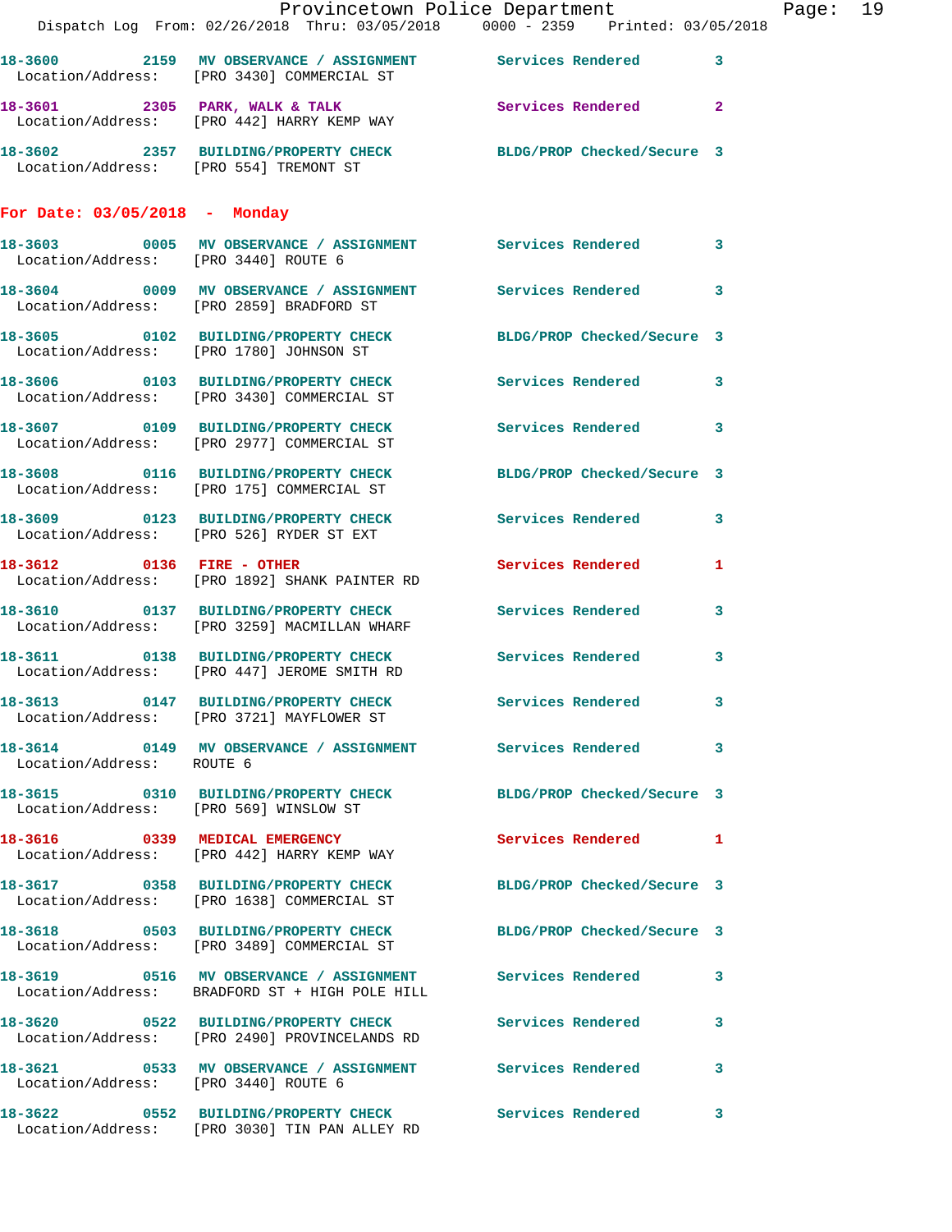|                                        | Provincetown Police Department                                                                                |                            |              |
|----------------------------------------|---------------------------------------------------------------------------------------------------------------|----------------------------|--------------|
|                                        | Dispatch Log From: 02/26/2018 Thru: 03/05/2018 0000 - 2359 Printed: 03/05/2018                                |                            |              |
|                                        | 18-3600 2159 MV OBSERVANCE / ASSIGNMENT Services Rendered 3<br>Location/Address: [PRO 3430] COMMERCIAL ST     |                            |              |
|                                        | 18-3601 2305 PARK, WALK & TALK 2 Services Rendered 2<br>Location/Address: [PRO 442] HARRY KEMP WAY            |                            |              |
| Location/Address: [PRO 554] TREMONT ST | 18-3602 2357 BUILDING/PROPERTY CHECK BLDG/PROP Checked/Secure 3                                               |                            |              |
| For Date: $03/05/2018$ - Monday        |                                                                                                               |                            |              |
| Location/Address: [PRO 3440] ROUTE 6   | 18-3603 0005 MV OBSERVANCE / ASSIGNMENT Services Rendered                                                     |                            | $\mathbf{3}$ |
|                                        | 18-3604 0009 MV OBSERVANCE / ASSIGNMENT Services Rendered 3<br>Location/Address: [PRO 2859] BRADFORD ST       |                            |              |
|                                        | 18-3605 0102 BUILDING/PROPERTY CHECK<br>Location/Address: [PRO 1780] JOHNSON ST                               | BLDG/PROP Checked/Secure 3 |              |
|                                        | 18-3606 0103 BUILDING/PROPERTY CHECK<br>Location/Address: [PRO 3430] COMMERCIAL ST                            | Services Rendered          | $\mathbf{3}$ |
|                                        | 18-3607 0109 BUILDING/PROPERTY CHECK<br>Location/Address: [PRO 2977] COMMERCIAL ST                            | Services Rendered 3        |              |
|                                        | 18-3608 0116 BUILDING/PROPERTY CHECK<br>Location/Address: [PRO 175] COMMERCIAL ST                             | BLDG/PROP Checked/Secure 3 |              |
|                                        | 18-3609 0123 BUILDING/PROPERTY CHECK<br>Location/Address: [PRO 526] RYDER ST EXT                              | Services Rendered 3        |              |
|                                        | 18-3612 0136 FIRE - OTHER<br>Location/Address: [PRO 1892] SHANK PAINTER RD                                    | Services Rendered          | 1            |
|                                        | 18-3610 0137 BUILDING/PROPERTY CHECK Services Rendered<br>Location/Address: [PRO 3259] MACMILLAN WHARF        |                            | $\mathbf{3}$ |
|                                        | 18-3611 0138 BUILDING/PROPERTY CHECK Services Rendered<br>Location/Address: [PRO 447] JEROME SMITH RD         |                            | $\mathbf{3}$ |
|                                        | 18-3613 0147 BUILDING/PROPERTY CHECK<br>Location/Address: [PRO 3721] MAYFLOWER ST                             | Services Rendered          | 3            |
| Location/Address: ROUTE 6              | 18-3614 0149 MV OBSERVANCE / ASSIGNMENT Services Rendered 3                                                   |                            |              |
|                                        | 18-3615 0310 BUILDING/PROPERTY CHECK<br>Location/Address: [PRO 569] WINSLOW ST                                | BLDG/PROP Checked/Secure 3 |              |
|                                        | 18-3616 0339 MEDICAL EMERGENCY<br>Location/Address: [PRO 442] HARRY KEMP WAY                                  | Services Rendered 1        |              |
|                                        | 18-3617 0358 BUILDING/PROPERTY CHECK<br>Location/Address: [PRO 1638] COMMERCIAL ST                            | BLDG/PROP Checked/Secure 3 |              |
|                                        | 18-3618 0503 BUILDING/PROPERTY CHECK BLDG/PROP Checked/Secure 3<br>Location/Address: [PRO 3489] COMMERCIAL ST |                            |              |
|                                        | 18-3619 0516 MV OBSERVANCE / ASSIGNMENT Services Rendered 3<br>Location/Address: BRADFORD ST + HIGH POLE HILL |                            |              |
|                                        | 18-3620 0522 BUILDING/PROPERTY CHECK<br>Location/Address: [PRO 2490] PROVINCELANDS RD                         | Services Rendered          | 3            |
| Location/Address: [PRO 3440] ROUTE 6   | 18-3621  0533 MV OBSERVANCE / ASSIGNMENT Services Rendered                                                    |                            | $\mathbf{3}$ |
|                                        | 18-3622 0552 BUILDING/PROPERTY CHECK<br>Location/Address: [PRO 3030] TIN PAN ALLEY RD                         | <b>Services Rendered</b>   | 3            |